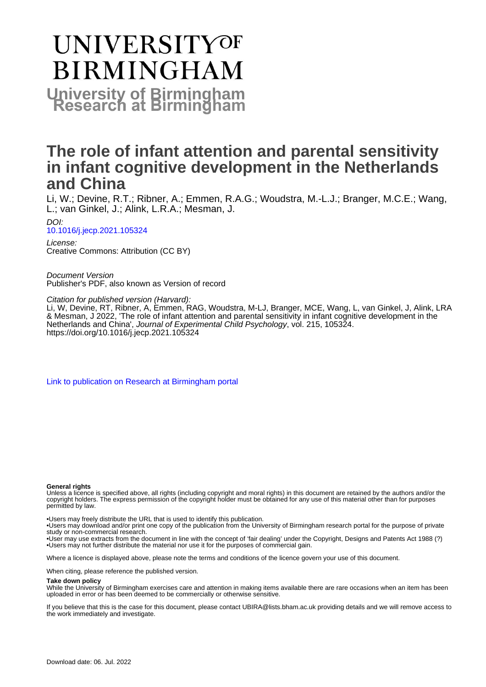# **UNIVERSITYOF BIRMINGHAM University of Birmingham**

## **The role of infant attention and parental sensitivity in infant cognitive development in the Netherlands and China**

Li, W.; Devine, R.T.; Ribner, A.; Emmen, R.A.G.; Woudstra, M.-L.J.; Branger, M.C.E.; Wang, L.; van Ginkel, J.; Alink, L.R.A.; Mesman, J.

DOI: [10.1016/j.jecp.2021.105324](https://doi.org/10.1016/j.jecp.2021.105324)

License: Creative Commons: Attribution (CC BY)

Document Version Publisher's PDF, also known as Version of record

Citation for published version (Harvard):

Li, W, Devine, RT, Ribner, A, Emmen, RAG, Woudstra, M-LJ, Branger, MCE, Wang, L, van Ginkel, J, Alink, LRA & Mesman, J 2022, 'The role of infant attention and parental sensitivity in infant cognitive development in the Netherlands and China', Journal of Experimental Child Psychology, vol. 215, 105324. <https://doi.org/10.1016/j.jecp.2021.105324>

[Link to publication on Research at Birmingham portal](https://birmingham.elsevierpure.com/en/publications/d23dc03e-e7dc-4afa-b502-b4408810b603)

#### **General rights**

Unless a licence is specified above, all rights (including copyright and moral rights) in this document are retained by the authors and/or the copyright holders. The express permission of the copyright holder must be obtained for any use of this material other than for purposes permitted by law.

• Users may freely distribute the URL that is used to identify this publication.

• Users may download and/or print one copy of the publication from the University of Birmingham research portal for the purpose of private study or non-commercial research.

• User may use extracts from the document in line with the concept of 'fair dealing' under the Copyright, Designs and Patents Act 1988 (?) • Users may not further distribute the material nor use it for the purposes of commercial gain.

Where a licence is displayed above, please note the terms and conditions of the licence govern your use of this document.

When citing, please reference the published version.

### **Take down policy**

While the University of Birmingham exercises care and attention in making items available there are rare occasions when an item has been uploaded in error or has been deemed to be commercially or otherwise sensitive.

If you believe that this is the case for this document, please contact UBIRA@lists.bham.ac.uk providing details and we will remove access to the work immediately and investigate.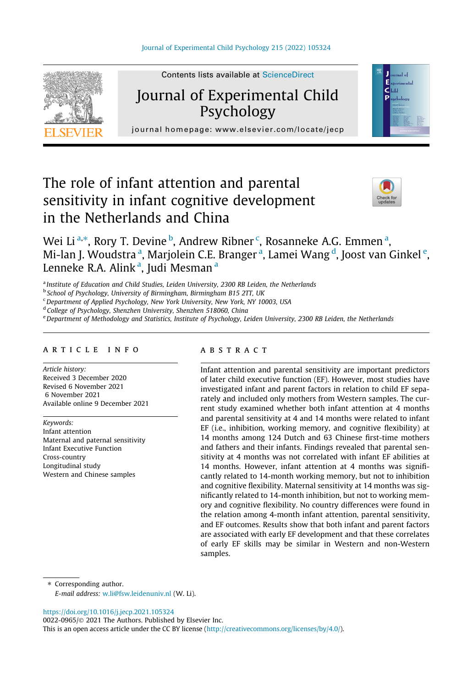

Contents lists available at ScienceDirect

### Journal of Experimental Child Psychology



journal homepage: [www.elsevier.com/locate/jecp](http://www.elsevier.com/locate/jecp)/ $j$ 

### The role of infant attention and parental sensitivity in infant cognitive development in the Netherlands and China



Wei Li <sup>a,\*</sup>, Rory T. Devine <sup>b</sup>, Andrew Ribner <sup>c</sup>, Rosanneke A.G. Emmen <sup>a</sup>, Mi-lan J. Woudstra <sup>a</sup>, Marjolein C.E. Branger <sup>a</sup>, Lamei Wang <sup>d</sup>, Joost van Ginkel <sup>e</sup>, Lenneke R.A. Alink<sup>a</sup>, Judi Mesman<sup>a</sup>

<sup>a</sup> Institute of Education and Child Studies, Leiden University, 2300 RB Leiden, the Netherlands

<sup>b</sup> School of Psychology, University of Birmingham, Birmingham B15 2TT, UK

<sup>c</sup> Department of Applied Psychology, New York University, New York, NY 10003, USA

<sup>d</sup> College of Psychology, Shenzhen University, Shenzhen 518060, China

e Department of Methodology and Statistics, Institute of Psychology, Leiden University, 2300 RB Leiden, the Netherlands

#### article info

Article history: Received 3 December 2020 Revised 6 November 2021 6 November 2021 Available online 9 December 2021

Keywords: Infant attention Maternal and paternal sensitivity Infant Executive Function Cross-country Longitudinal study Western and Chinese samples

#### **ABSTRACT**

Infant attention and parental sensitivity are important predictors of later child executive function (EF). However, most studies have investigated infant and parent factors in relation to child EF separately and included only mothers from Western samples. The current study examined whether both infant attention at 4 months and parental sensitivity at 4 and 14 months were related to infant EF (i.e., inhibition, working memory, and cognitive flexibility) at 14 months among 124 Dutch and 63 Chinese first-time mothers and fathers and their infants. Findings revealed that parental sensitivity at 4 months was not correlated with infant EF abilities at 14 months. However, infant attention at 4 months was significantly related to 14-month working memory, but not to inhibition and cognitive flexibility. Maternal sensitivity at 14 months was significantly related to 14-month inhibition, but not to working memory and cognitive flexibility. No country differences were found in the relation among 4-month infant attention, parental sensitivity, and EF outcomes. Results show that both infant and parent factors are associated with early EF development and that these correlates of early EF skills may be similar in Western and non-Western samples.

⇑ Corresponding author.

E-mail address: [w.li@fsw.leidenuniv.nl](mailto:w.li@fsw.leidenuniv.nl) (W. Li).

<https://doi.org/10.1016/j.jecp.2021.105324>

0022-0965/© 2021 The Authors. Published by Elsevier Inc.

This is an open access article under the CC BY license [\(http://creativecommons.org/licenses/by/4.0/\)](http://creativecommons.org/licenses/by/4.0/).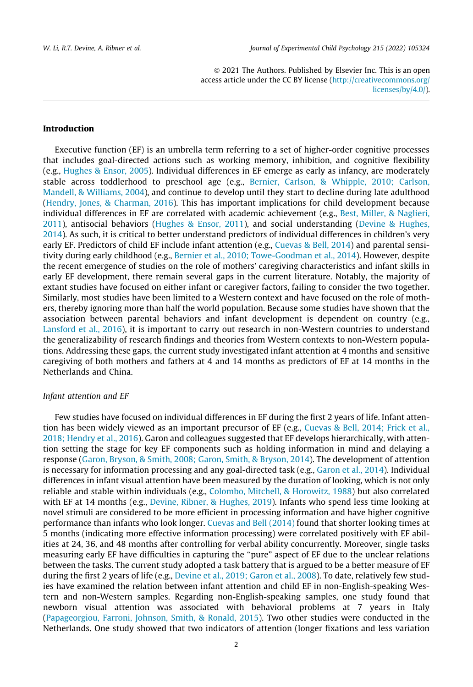2021 The Authors. Published by Elsevier Inc. This is an open access article under the CC BY license ([http://creativecommons.org/](http://creativecommons.org/licenses/by/4.0/) [licenses/by/4.0/](http://creativecommons.org/licenses/by/4.0/)).

#### Introduction

Executive function (EF) is an umbrella term referring to a set of higher-order cognitive processes that includes goal-directed actions such as working memory, inhibition, and cognitive flexibility (e.g., [Hughes & Ensor, 2005\)](#page-17-0). Individual differences in EF emerge as early as infancy, are moderately stable across toddlerhood to preschool age (e.g., [Bernier, Carlson, & Whipple, 2010; Carlson,](#page-16-0) [Mandell, & Williams, 2004\)](#page-16-0), and continue to develop until they start to decline during late adulthood ([Hendry, Jones, & Charman, 2016](#page-17-0)). This has important implications for child development because individual differences in EF are correlated with academic achievement (e.g., [Best, Miller, & Naglieri,](#page-16-0) [2011\)](#page-16-0), antisocial behaviors ([Hughes & Ensor, 2011](#page-17-0)), and social understanding [\(Devine & Hughes,](#page-16-0) [2014\)](#page-16-0). As such, it is critical to better understand predictors of individual differences in children's very early EF. Predictors of child EF include infant attention (e.g., [Cuevas & Bell, 2014\)](#page-16-0) and parental sensitivity during early childhood (e.g., [Bernier et al., 2010; Towe-Goodman et al., 2014\)](#page-16-0). However, despite the recent emergence of studies on the role of mothers' caregiving characteristics and infant skills in early EF development, there remain several gaps in the current literature. Notably, the majority of extant studies have focused on either infant or caregiver factors, failing to consider the two together. Similarly, most studies have been limited to a Western context and have focused on the role of mothers, thereby ignoring more than half the world population. Because some studies have shown that the association between parental behaviors and infant development is dependent on country (e.g., [Lansford et al., 2016\)](#page-17-0), it is important to carry out research in non-Western countries to understand the generalizability of research findings and theories from Western contexts to non-Western populations. Addressing these gaps, the current study investigated infant attention at 4 months and sensitive caregiving of both mothers and fathers at 4 and 14 months as predictors of EF at 14 months in the Netherlands and China.

#### Infant attention and EF

Few studies have focused on individual differences in EF during the first 2 years of life. Infant attention has been widely viewed as an important precursor of EF (e.g., [Cuevas & Bell, 2014; Frick et al.,](#page-16-0) [2018; Hendry et al., 2016\)](#page-16-0). Garon and colleagues suggested that EF develops hierarchically, with attention setting the stage for key EF components such as holding information in mind and delaying a response [\(Garon, Bryson, & Smith, 2008; Garon, Smith, & Bryson, 2014](#page-17-0)). The development of attention is necessary for information processing and any goal-directed task (e.g., [Garon et al., 2014\)](#page-17-0). Individual differences in infant visual attention have been measured by the duration of looking, which is not only reliable and stable within individuals (e.g., [Colombo, Mitchell, & Horowitz, 1988](#page-16-0)) but also correlated with EF at 14 months (e.g., [Devine, Ribner, & Hughes, 2019](#page-16-0)). Infants who spend less time looking at novel stimuli are considered to be more efficient in processing information and have higher cognitive performance than infants who look longer. [Cuevas and Bell \(2014\)](#page-16-0) found that shorter looking times at 5 months (indicating more effective information processing) were correlated positively with EF abilities at 24, 36, and 48 months after controlling for verbal ability concurrently. Moreover, single tasks measuring early EF have difficulties in capturing the ''pure" aspect of EF due to the unclear relations between the tasks. The current study adopted a task battery that is argued to be a better measure of EF during the first 2 years of life (e.g., [Devine et al., 2019; Garon et al., 2008](#page-16-0)). To date, relatively few studies have examined the relation between infant attention and child EF in non-English-speaking Western and non-Western samples. Regarding non-English-speaking samples, one study found that newborn visual attention was associated with behavioral problems at 7 years in Italy ([Papageorgiou, Farroni, Johnson, Smith, & Ronald, 2015](#page-17-0)). Two other studies were conducted in the Netherlands. One study showed that two indicators of attention (longer fixations and less variation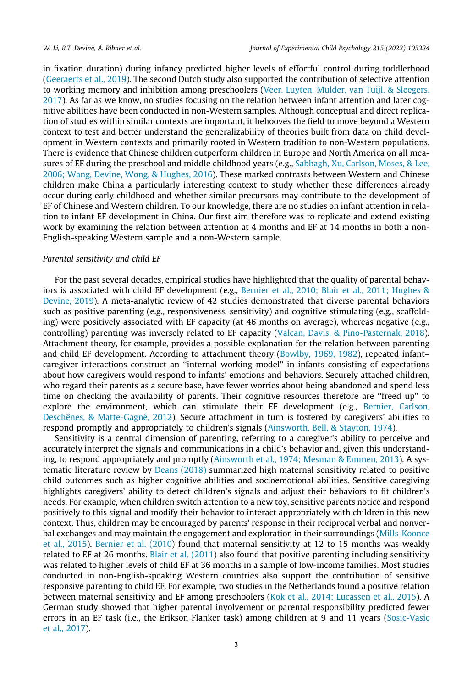in fixation duration) during infancy predicted higher levels of effortful control during toddlerhood ([Geeraerts et al., 2019](#page-17-0)). The second Dutch study also supported the contribution of selective attention to working memory and inhibition among preschoolers ([Veer, Luyten, Mulder, van Tuijl, & Sleegers,](#page-18-0) [2017\)](#page-18-0). As far as we know, no studies focusing on the relation between infant attention and later cognitive abilities have been conducted in non-Western samples. Although conceptual and direct replication of studies within similar contexts are important, it behooves the field to move beyond a Western context to test and better understand the generalizability of theories built from data on child development in Western contexts and primarily rooted in Western tradition to non-Western populations. There is evidence that Chinese children outperform children in Europe and North America on all measures of EF during the preschool and middle childhood years (e.g., [Sabbagh, Xu, Carlson, Moses, & Lee,](#page-17-0) [2006; Wang, Devine, Wong, & Hughes, 2016](#page-17-0)). These marked contrasts between Western and Chinese children make China a particularly interesting context to study whether these differences already occur during early childhood and whether similar precursors may contribute to the development of EF of Chinese and Western children. To our knowledge, there are no studies on infant attention in relation to infant EF development in China. Our first aim therefore was to replicate and extend existing work by examining the relation between attention at 4 months and EF at 14 months in both a non-English-speaking Western sample and a non-Western sample.

#### Parental sensitivity and child EF

For the past several decades, empirical studies have highlighted that the quality of parental behaviors is associated with child EF development (e.g., [Bernier et al., 2010; Blair et al., 2011; Hughes &](#page-16-0) [Devine, 2019\)](#page-16-0). A meta-analytic review of 42 studies demonstrated that diverse parental behaviors such as positive parenting (e.g., responsiveness, sensitivity) and cognitive stimulating (e.g., scaffolding) were positively associated with EF capacity (at 46 months on average), whereas negative (e.g., controlling) parenting was inversely related to EF capacity ([Valcan, Davis, & Pino-Pasternak, 2018](#page-18-0)). Attachment theory, for example, provides a possible explanation for the relation between parenting and child EF development. According to attachment theory [\(Bowlby, 1969, 1982\)](#page-16-0), repeated infant– caregiver interactions construct an ''internal working model" in infants consisting of expectations about how caregivers would respond to infants' emotions and behaviors. Securely attached children, who regard their parents as a secure base, have fewer worries about being abandoned and spend less time on checking the availability of parents. Their cognitive resources therefore are ''freed up" to explore the environment, which can stimulate their EF development (e.g., [Bernier, Carlson,](#page-16-0) [Deschênes, & Matte-Gagné, 2012](#page-16-0)). Secure attachment in turn is fostered by caregivers' abilities to respond promptly and appropriately to children's signals [\(Ainsworth, Bell, & Stayton, 1974](#page-16-0)).

Sensitivity is a central dimension of parenting, referring to a caregiver's ability to perceive and accurately interpret the signals and communications in a child's behavior and, given this understanding, to respond appropriately and promptly ([Ainsworth et al., 1974; Mesman & Emmen, 2013\)](#page-16-0). A systematic literature review by [Deans \(2018\)](#page-16-0) summarized high maternal sensitivity related to positive child outcomes such as higher cognitive abilities and socioemotional abilities. Sensitive caregiving highlights caregivers' ability to detect children's signals and adjust their behaviors to fit children's needs. For example, when children switch attention to a new toy, sensitive parents notice and respond positively to this signal and modify their behavior to interact appropriately with children in this new context. Thus, children may be encouraged by parents' response in their reciprocal verbal and nonverbal exchanges and may maintain the engagement and exploration in their surroundings ([Mills-Koonce](#page-17-0) [et al., 2015](#page-17-0)). [Bernier et al. \(2010\)](#page-16-0) found that maternal sensitivity at 12 to 15 months was weakly related to EF at 26 months. [Blair et al. \(2011](#page-16-0)) also found that positive parenting including sensitivity was related to higher levels of child EF at 36 months in a sample of low-income families. Most studies conducted in non-English-speaking Western countries also support the contribution of sensitive responsive parenting to child EF. For example, two studies in the Netherlands found a positive relation between maternal sensitivity and EF among preschoolers [\(Kok et al., 2014; Lucassen et al., 2015\)](#page-17-0). A German study showed that higher parental involvement or parental responsibility predicted fewer errors in an EF task (i.e., the Erikson Flanker task) among children at 9 and 11 years [\(Sosic-Vasic](#page-18-0) [et al., 2017\)](#page-18-0).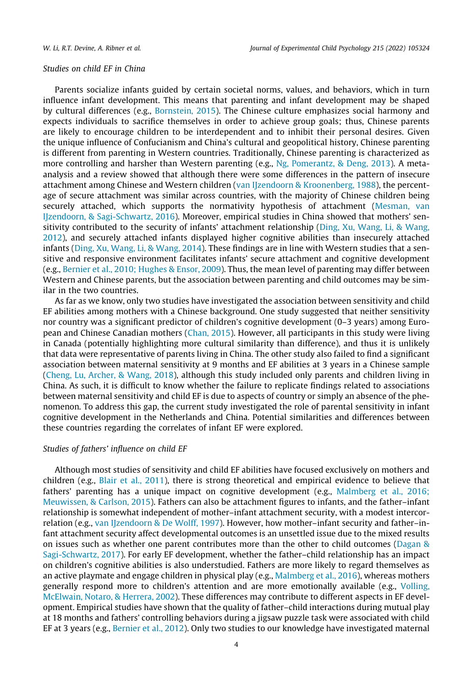#### Studies on child EF in China

Parents socialize infants guided by certain societal norms, values, and behaviors, which in turn influence infant development. This means that parenting and infant development may be shaped by cultural differences (e.g., [Bornstein, 2015\)](#page-16-0). The Chinese culture emphasizes social harmony and expects individuals to sacrifice themselves in order to achieve group goals; thus, Chinese parents are likely to encourage children to be interdependent and to inhibit their personal desires. Given the unique influence of Confucianism and China's cultural and geopolitical history, Chinese parenting is different from parenting in Western countries. Traditionally, Chinese parenting is characterized as more controlling and harsher than Western parenting (e.g., [Ng, Pomerantz, & Deng, 2013](#page-17-0)). A metaanalysis and a review showed that although there were some differences in the pattern of insecure attachment among Chinese and Western children ([van IJzendoorn & Kroonenberg, 1988\)](#page-18-0), the percentage of secure attachment was similar across countries, with the majority of Chinese children being securely attached, which supports the normativity hypothesis of attachment [\(Mesman, van](#page-17-0) [IJzendoorn, & Sagi-Schwartz, 2016\)](#page-17-0). Moreover, empirical studies in China showed that mothers' sensitivity contributed to the security of infants' attachment relationship [\(Ding, Xu, Wang, Li, & Wang,](#page-16-0) [2012\)](#page-16-0), and securely attached infants displayed higher cognitive abilities than insecurely attached infants ([Ding, Xu, Wang, Li, & Wang, 2014](#page-16-0)). These findings are in line with Western studies that a sensitive and responsive environment facilitates infants' secure attachment and cognitive development (e.g., [Bernier et al., 2010; Hughes & Ensor, 2009\)](#page-16-0). Thus, the mean level of parenting may differ between Western and Chinese parents, but the association between parenting and child outcomes may be similar in the two countries.

As far as we know, only two studies have investigated the association between sensitivity and child EF abilities among mothers with a Chinese background. One study suggested that neither sensitivity nor country was a significant predictor of children's cognitive development (0–3 years) among European and Chinese Canadian mothers ([Chan, 2015](#page-16-0)). However, all participants in this study were living in Canada (potentially highlighting more cultural similarity than difference), and thus it is unlikely that data were representative of parents living in China. The other study also failed to find a significant association between maternal sensitivity at 9 months and EF abilities at 3 years in a Chinese sample ([Cheng, Lu, Archer, & Wang, 2018\)](#page-16-0), although this study included only parents and children living in China. As such, it is difficult to know whether the failure to replicate findings related to associations between maternal sensitivity and child EF is due to aspects of country or simply an absence of the phenomenon. To address this gap, the current study investigated the role of parental sensitivity in infant cognitive development in the Netherlands and China. Potential similarities and differences between these countries regarding the correlates of infant EF were explored.

#### Studies of fathers' influence on child EF

Although most studies of sensitivity and child EF abilities have focused exclusively on mothers and children (e.g., [Blair et al., 2011\)](#page-16-0), there is strong theoretical and empirical evidence to believe that fathers' parenting has a unique impact on cognitive development (e.g., [Malmberg et al., 2016;](#page-17-0) [Meuwissen, & Carlson, 2015\)](#page-17-0). Fathers can also be attachment figures to infants, and the father–infant relationship is somewhat independent of mother–infant attachment security, with a modest intercorrelation (e.g., [van IJzendoorn & De Wolff, 1997](#page-18-0)). However, how mother–infant security and father–infant attachment security affect developmental outcomes is an unsettled issue due to the mixed results on issues such as whether one parent contributes more than the other to child outcomes ([Dagan &](#page-16-0) [Sagi-Schwartz, 2017](#page-16-0)). For early EF development, whether the father–child relationship has an impact on children's cognitive abilities is also understudied. Fathers are more likely to regard themselves as an active playmate and engage children in physical play (e.g., [Malmberg et al., 2016](#page-17-0)), whereas mothers generally respond more to children's attention and are more emotionally available (e.g., [Volling,](#page-18-0) [McElwain, Notaro, & Herrera, 2002](#page-18-0)). These differences may contribute to different aspects in EF development. Empirical studies have shown that the quality of father–child interactions during mutual play at 18 months and fathers' controlling behaviors during a jigsaw puzzle task were associated with child EF at 3 years (e.g., [Bernier et al., 2012](#page-16-0)). Only two studies to our knowledge have investigated maternal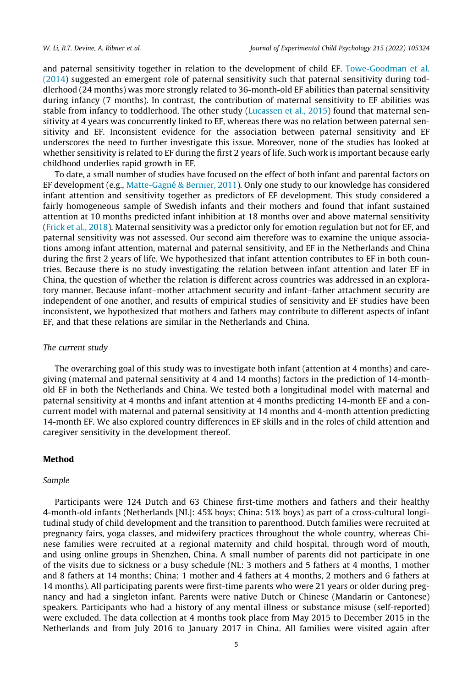and paternal sensitivity together in relation to the development of child EF. [Towe-Goodman et al.](#page-18-0) [\(2014\)](#page-18-0) suggested an emergent role of paternal sensitivity such that paternal sensitivity during toddlerhood (24 months) was more strongly related to 36-month-old EF abilities than paternal sensitivity during infancy (7 months). In contrast, the contribution of maternal sensitivity to EF abilities was stable from infancy to toddlerhood. The other study ([Lucassen et al., 2015](#page-17-0)) found that maternal sensitivity at 4 years was concurrently linked to EF, whereas there was no relation between paternal sensitivity and EF. Inconsistent evidence for the association between paternal sensitivity and EF underscores the need to further investigate this issue. Moreover, none of the studies has looked at whether sensitivity is related to EF during the first 2 years of life. Such work is important because early childhood underlies rapid growth in EF.

To date, a small number of studies have focused on the effect of both infant and parental factors on EF development (e.g., [Matte-Gagné & Bernier, 2011\)](#page-17-0). Only one study to our knowledge has considered infant attention and sensitivity together as predictors of EF development. This study considered a fairly homogeneous sample of Swedish infants and their mothers and found that infant sustained attention at 10 months predicted infant inhibition at 18 months over and above maternal sensitivity ([Frick et al., 2018\)](#page-17-0). Maternal sensitivity was a predictor only for emotion regulation but not for EF, and paternal sensitivity was not assessed. Our second aim therefore was to examine the unique associations among infant attention, maternal and paternal sensitivity, and EF in the Netherlands and China during the first 2 years of life. We hypothesized that infant attention contributes to EF in both countries. Because there is no study investigating the relation between infant attention and later EF in China, the question of whether the relation is different across countries was addressed in an exploratory manner. Because infant–mother attachment security and infant–father attachment security are independent of one another, and results of empirical studies of sensitivity and EF studies have been inconsistent, we hypothesized that mothers and fathers may contribute to different aspects of infant EF, and that these relations are similar in the Netherlands and China.

#### The current study

The overarching goal of this study was to investigate both infant (attention at 4 months) and caregiving (maternal and paternal sensitivity at 4 and 14 months) factors in the prediction of 14-monthold EF in both the Netherlands and China. We tested both a longitudinal model with maternal and paternal sensitivity at 4 months and infant attention at 4 months predicting 14-month EF and a concurrent model with maternal and paternal sensitivity at 14 months and 4-month attention predicting 14-month EF. We also explored country differences in EF skills and in the roles of child attention and caregiver sensitivity in the development thereof.

#### Method

#### Sample

Participants were 124 Dutch and 63 Chinese first-time mothers and fathers and their healthy 4-month-old infants (Netherlands [NL]: 45% boys; China: 51% boys) as part of a cross-cultural longitudinal study of child development and the transition to parenthood. Dutch families were recruited at pregnancy fairs, yoga classes, and midwifery practices throughout the whole country, whereas Chinese families were recruited at a regional maternity and child hospital, through word of mouth, and using online groups in Shenzhen, China. A small number of parents did not participate in one of the visits due to sickness or a busy schedule (NL: 3 mothers and 5 fathers at 4 months, 1 mother and 8 fathers at 14 months; China: 1 mother and 4 fathers at 4 months, 2 mothers and 6 fathers at 14 months). All participating parents were first-time parents who were 21 years or older during pregnancy and had a singleton infant. Parents were native Dutch or Chinese (Mandarin or Cantonese) speakers. Participants who had a history of any mental illness or substance misuse (self-reported) were excluded. The data collection at 4 months took place from May 2015 to December 2015 in the Netherlands and from July 2016 to January 2017 in China. All families were visited again after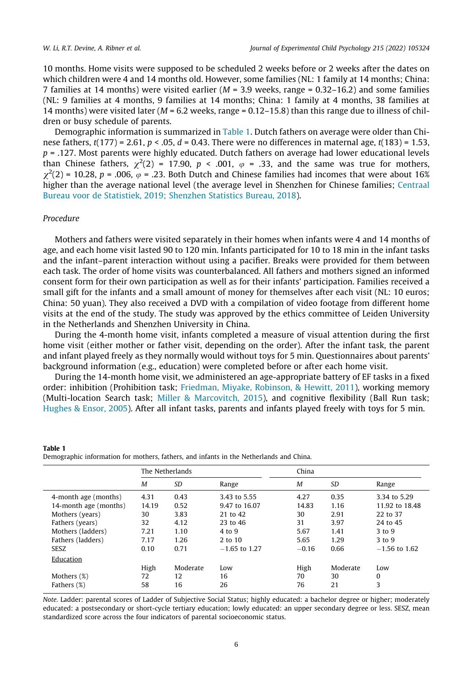10 months. Home visits were supposed to be scheduled 2 weeks before or 2 weeks after the dates on which children were 4 and 14 months old. However, some families (NL: 1 family at 14 months; China: 7 families at 14 months) were visited earlier ( $M = 3.9$  weeks, range = 0.32–16.2) and some families (NL: 9 families at 4 months, 9 families at 14 months; China: 1 family at 4 months, 38 families at 14 months) were visited later ( $M = 6.2$  weeks, range = 0.12–15.8) than this range due to illness of children or busy schedule of parents.

Demographic information is summarized in Table 1. Dutch fathers on average were older than Chinese fathers,  $t(177) = 2.61$ ,  $p < .05$ ,  $d = 0.43$ . There were no differences in maternal age,  $t(183) = 1.53$ .  $p = 0.127$ . Most parents were highly educated. Dutch fathers on average had lower educational levels than Chinese fathers,  $\chi^2(2) = 17.90$ ,  $p < .001$ ,  $\varphi = .33$ , and the same was true for mothers,  $\chi^2(2)$  = 10.28, p = .006,  $\varphi$  = .23. Both Dutch and Chinese families had incomes that were about 16% higher than the average national level (the average level in Shenzhen for Chinese families; [Centraal](#page-16-0) [Bureau voor de Statistiek, 2019; Shenzhen Statistics Bureau, 2018](#page-16-0)).

#### Procedure

Table 1

Mothers and fathers were visited separately in their homes when infants were 4 and 14 months of age, and each home visit lasted 90 to 120 min. Infants participated for 10 to 18 min in the infant tasks and the infant–parent interaction without using a pacifier. Breaks were provided for them between each task. The order of home visits was counterbalanced. All fathers and mothers signed an informed consent form for their own participation as well as for their infants' participation. Families received a small gift for the infants and a small amount of money for themselves after each visit (NL: 10 euros; China: 50 yuan). They also received a DVD with a compilation of video footage from different home visits at the end of the study. The study was approved by the ethics committee of Leiden University in the Netherlands and Shenzhen University in China.

During the 4-month home visit, infants completed a measure of visual attention during the first home visit (either mother or father visit, depending on the order). After the infant task, the parent and infant played freely as they normally would without toys for 5 min. Questionnaires about parents' background information (e.g., education) were completed before or after each home visit.

During the 14-month home visit, we administered an age-appropriate battery of EF tasks in a fixed order: inhibition (Prohibition task; [Friedman, Miyake, Robinson, & Hewitt, 2011\)](#page-17-0), working memory (Multi-location Search task; [Miller & Marcovitch, 2015](#page-17-0)), and cognitive flexibility (Ball Run task; [Hughes & Ensor, 2005](#page-17-0)). After all infant tasks, parents and infants played freely with toys for 5 min.

|                       |       | The Netherlands |                 | China   |           |                       |  |  |
|-----------------------|-------|-----------------|-----------------|---------|-----------|-----------------------|--|--|
|                       | M     | SD              | Range           | M       | <b>SD</b> | Range<br>3.34 to 5.29 |  |  |
| 4-month age (months)  | 4.31  | 0.43            | 3.43 to 5.55    | 4.27    | 0.35      |                       |  |  |
| 14-month age (months) | 14.19 | 0.52            | 9.47 to 16.07   | 14.83   | 1.16      | 11.92 to 18.48        |  |  |
| Mothers (years)       | 30    | 3.83            | 21 to 42        | 30      | 2.91      | 22 to 37              |  |  |
| Fathers (years)       | 32    | 4.12            | 23 to 46        | 31      | 3.97      | 24 to 45              |  |  |
| Mothers (ladders)     | 7.21  | 1.10            | 4 to 9          | 5.67    | 1.41      | $3$ to $9$            |  |  |
| Fathers (ladders)     | 7.17  | 1.26            | $2$ to 10       | 5.65    | 1.29      | $3$ to $9$            |  |  |
| SESZ                  | 0.10  | 0.71            | $-1.65$ to 1.27 | $-0.16$ | 0.66      | $-1.56$ to 1.62       |  |  |
| Education             |       |                 |                 |         |           |                       |  |  |
|                       | High  | Moderate        | Low             | High    | Moderate  | Low                   |  |  |
| Mothers (%)           | 72    | 12              | 16              | 70      | 30        | $\Omega$              |  |  |
| Fathers (%)           | 58    | 16              | 26              | 76      | 21        | 3                     |  |  |

Demographic information for mothers, fathers, and infants in the Netherlands and China.

Note. Ladder: parental scores of Ladder of Subjective Social Status; highly educated: a bachelor degree or higher; moderately educated: a postsecondary or short-cycle tertiary education; lowly educated: an upper secondary degree or less. SESZ, mean standardized score across the four indicators of parental socioeconomic status.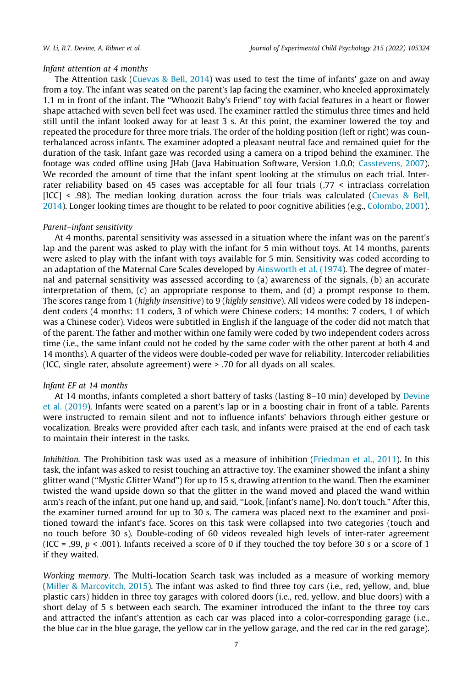#### Infant attention at 4 months

The Attention task [\(Cuevas & Bell, 2014](#page-16-0)) was used to test the time of infants' gaze on and away from a toy. The infant was seated on the parent's lap facing the examiner, who kneeled approximately 1.1 m in front of the infant. The ''Whoozit Baby's Friend" toy with facial features in a heart or flower shape attached with seven bell feet was used. The examiner rattled the stimulus three times and held still until the infant looked away for at least 3 s. At this point, the examiner lowered the toy and repeated the procedure for three more trials. The order of the holding position (left or right) was counterbalanced across infants. The examiner adopted a pleasant neutral face and remained quiet for the duration of the task. Infant gaze was recorded using a camera on a tripod behind the examiner. The footage was coded offline using JHab (Java Habituation Software, Version 1.0.0; [Casstevens, 2007](#page-16-0)). We recorded the amount of time that the infant spent looking at the stimulus on each trial. Interrater reliability based on 45 cases was acceptable for all four trials (.77 < intraclass correlation [ICC] < .98). The median looking duration across the four trials was calculated [\(Cuevas & Bell,](#page-16-0) [2014\)](#page-16-0). Longer looking times are thought to be related to poor cognitive abilities (e.g., [Colombo, 2001](#page-16-0)).

#### Parent–infant sensitivity

At 4 months, parental sensitivity was assessed in a situation where the infant was on the parent's lap and the parent was asked to play with the infant for 5 min without toys. At 14 months, parents were asked to play with the infant with toys available for 5 min. Sensitivity was coded according to an adaptation of the Maternal Care Scales developed by [Ainsworth et al. \(1974\)](#page-16-0). The degree of maternal and paternal sensitivity was assessed according to (a) awareness of the signals, (b) an accurate interpretation of them, (c) an appropriate response to them, and (d) a prompt response to them. The scores range from 1 (highly insensitive) to 9 (highly sensitive). All videos were coded by 18 independent coders (4 months: 11 coders, 3 of which were Chinese coders; 14 months: 7 coders, 1 of which was a Chinese coder). Videos were subtitled in English if the language of the coder did not match that of the parent. The father and mother within one family were coded by two independent coders across time (i.e., the same infant could not be coded by the same coder with the other parent at both 4 and 14 months). A quarter of the videos were double-coded per wave for reliability. Intercoder reliabilities (ICC, single rater, absolute agreement) were > .70 for all dyads on all scales.

#### Infant EF at 14 months

At 14 months, infants completed a short battery of tasks (lasting 8–10 min) developed by [Devine](#page-16-0) [et al. \(2019](#page-16-0)). Infants were seated on a parent's lap or in a boosting chair in front of a table. Parents were instructed to remain silent and not to influence infants' behaviors through either gesture or vocalization. Breaks were provided after each task, and infants were praised at the end of each task to maintain their interest in the tasks.

Inhibition. The Prohibition task was used as a measure of inhibition [\(Friedman et al., 2011](#page-17-0)). In this task, the infant was asked to resist touching an attractive toy. The examiner showed the infant a shiny glitter wand (''Mystic Glitter Wand") for up to 15 s, drawing attention to the wand. Then the examiner twisted the wand upside down so that the glitter in the wand moved and placed the wand within arm's reach of the infant, put one hand up, and said, ''Look, [infant's name]. No, don't touch." After this, the examiner turned around for up to 30 s. The camera was placed next to the examiner and positioned toward the infant's face. Scores on this task were collapsed into two categories (touch and no touch before 30 s). Double-coding of 60 videos revealed high levels of inter-rater agreement (ICC = .99,  $p < .001$ ). Infants received a score of 0 if they touched the toy before 30 s or a score of 1 if they waited.

Working memory. The Multi-location Search task was included as a measure of working memory ([Miller & Marcovitch, 2015](#page-17-0)). The infant was asked to find three toy cars (i.e., red, yellow, and, blue plastic cars) hidden in three toy garages with colored doors (i.e., red, yellow, and blue doors) with a short delay of 5 s between each search. The examiner introduced the infant to the three toy cars and attracted the infant's attention as each car was placed into a color-corresponding garage (i.e., the blue car in the blue garage, the yellow car in the yellow garage, and the red car in the red garage).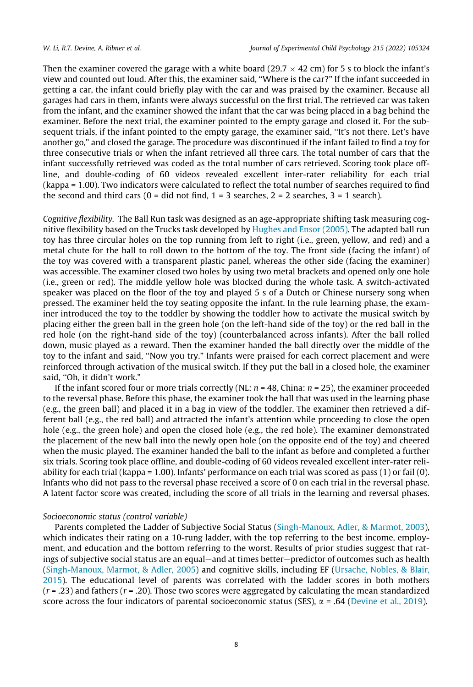Then the examiner covered the garage with a white board (29.7  $\times$  42 cm) for 5 s to block the infant's view and counted out loud. After this, the examiner said, ''Where is the car?" If the infant succeeded in getting a car, the infant could briefly play with the car and was praised by the examiner. Because all garages had cars in them, infants were always successful on the first trial. The retrieved car was taken from the infant, and the examiner showed the infant that the car was being placed in a bag behind the examiner. Before the next trial, the examiner pointed to the empty garage and closed it. For the subsequent trials, if the infant pointed to the empty garage, the examiner said, ''It's not there. Let's have another go," and closed the garage. The procedure was discontinued if the infant failed to find a toy for three consecutive trials or when the infant retrieved all three cars. The total number of cars that the infant successfully retrieved was coded as the total number of cars retrieved. Scoring took place offline, and double-coding of 60 videos revealed excellent inter-rater reliability for each trial (kappa = 1.00). Two indicators were calculated to reflect the total number of searches required to find the second and third cars ( $0 =$  did not find,  $1 = 3$  searches,  $2 = 2$  searches,  $3 = 1$  search).

Cognitive flexibility. The Ball Run task was designed as an age-appropriate shifting task measuring cognitive flexibility based on the Trucks task developed by [Hughes and Ensor \(2005\)](#page-17-0). The adapted ball run toy has three circular holes on the top running from left to right (i.e., green, yellow, and red) and a metal chute for the ball to roll down to the bottom of the toy. The front side (facing the infant) of the toy was covered with a transparent plastic panel, whereas the other side (facing the examiner) was accessible. The examiner closed two holes by using two metal brackets and opened only one hole (i.e., green or red). The middle yellow hole was blocked during the whole task. A switch-activated speaker was placed on the floor of the toy and played 5 s of a Dutch or Chinese nursery song when pressed. The examiner held the toy seating opposite the infant. In the rule learning phase, the examiner introduced the toy to the toddler by showing the toddler how to activate the musical switch by placing either the green ball in the green hole (on the left-hand side of the toy) or the red ball in the red hole (on the right-hand side of the toy) (counterbalanced across infants). After the ball rolled down, music played as a reward. Then the examiner handed the ball directly over the middle of the toy to the infant and said, ''Now you try." Infants were praised for each correct placement and were reinforced through activation of the musical switch. If they put the ball in a closed hole, the examiner said, ''Oh, it didn't work."

If the infant scored four or more trials correctly (NL:  $n = 48$ , China:  $n = 25$ ), the examiner proceeded to the reversal phase. Before this phase, the examiner took the ball that was used in the learning phase (e.g., the green ball) and placed it in a bag in view of the toddler. The examiner then retrieved a different ball (e.g., the red ball) and attracted the infant's attention while proceeding to close the open hole (e.g., the green hole) and open the closed hole (e.g., the red hole). The examiner demonstrated the placement of the new ball into the newly open hole (on the opposite end of the toy) and cheered when the music played. The examiner handed the ball to the infant as before and completed a further six trials. Scoring took place offline, and double-coding of 60 videos revealed excellent inter-rater reliability for each trial (kappa = 1.00). Infants' performance on each trial was scored as pass (1) or fail (0). Infants who did not pass to the reversal phase received a score of 0 on each trial in the reversal phase. A latent factor score was created, including the score of all trials in the learning and reversal phases.

### Socioeconomic status (control variable)

Parents completed the Ladder of Subjective Social Status [\(Singh-Manoux, Adler, & Marmot, 2003](#page-17-0)), which indicates their rating on a 10-rung ladder, with the top referring to the best income, employment, and education and the bottom referring to the worst. Results of prior studies suggest that ratings of subjective social status are an equal—and at times better—predictor of outcomes such as health ([Singh-Manoux, Marmot, & Adler, 2005\)](#page-18-0) and cognitive skills, including EF [\(Ursache, Nobles, & Blair,](#page-18-0) [2015\)](#page-18-0). The educational level of parents was correlated with the ladder scores in both mothers  $(r = .23)$  and fathers  $(r = .20)$ . Those two scores were aggregated by calculating the mean standardized score across the four indicators of parental socioeconomic status (SES),  $\alpha$  = .64 [\(Devine et al., 2019](#page-16-0)).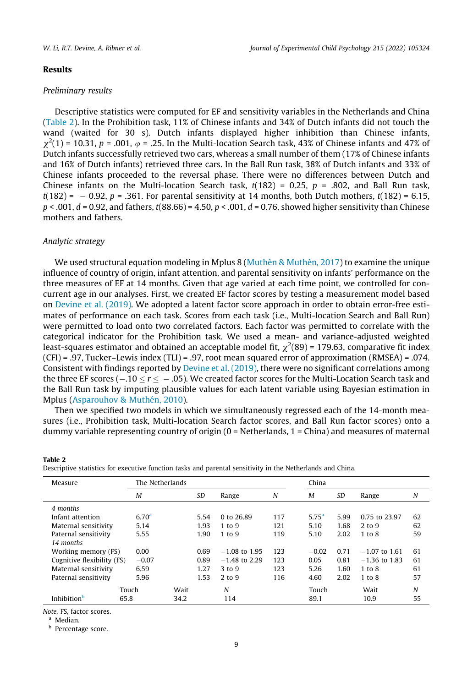#### Results

#### Preliminary results

Descriptive statistics were computed for EF and sensitivity variables in the Netherlands and China (Table 2). In the Prohibition task, 11% of Chinese infants and 34% of Dutch infants did not touch the wand (waited for 30 s). Dutch infants displayed higher inhibition than Chinese infants,  $\chi^2(1)$  = 10.31, p = .001,  $\varphi$  = .25. In the Multi-location Search task, 43% of Chinese infants and 47% of Dutch infants successfully retrieved two cars, whereas a small number of them (17% of Chinese infants and 16% of Dutch infants) retrieved three cars. In the Ball Run task, 38% of Dutch infants and 33% of Chinese infants proceeded to the reversal phase. There were no differences between Dutch and Chinese infants on the Multi-location Search task,  $t(182) = 0.25$ ,  $p = .802$ , and Ball Run task,  $t(182) = -0.92$ ,  $p = 0.361$ . For parental sensitivity at 14 months, both Dutch mothers,  $t(182) = 6.15$ ,  $p < .001$ ,  $d = 0.92$ , and fathers,  $t(88.66) = 4.50$ ,  $p < .001$ ,  $d = 0.76$ , showed higher sensitivity than Chinese mothers and fathers.

#### Analytic strategy

We used structural equation modeling in Mplus 8 [\(Muthèn & Muthèn, 2017](#page-17-0)) to examine the unique influence of country of origin, infant attention, and parental sensitivity on infants' performance on the three measures of EF at 14 months. Given that age varied at each time point, we controlled for concurrent age in our analyses. First, we created EF factor scores by testing a measurement model based on [Devine et al. \(2019\).](#page-16-0) We adopted a latent factor score approach in order to obtain error-free estimates of performance on each task. Scores from each task (i.e., Multi-location Search and Ball Run) were permitted to load onto two correlated factors. Each factor was permitted to correlate with the categorical indicator for the Prohibition task. We used a mean- and variance-adjusted weighted least-squares estimator and obtained an acceptable model fit,  $\chi^2(89)$  = 179.63, comparative fit index  $(CFI) = .97$ , Tucker–Lewis index  $(TLI) = .97$ , root mean squared error of approximation  $(RMSEA) = .074$ . Consistent with findings reported by [Devine et al. \(2019\),](#page-16-0) there were no significant correlations among the three EF scores ( $-.10 < r < -.05$ ). We created factor scores for the Multi-Location Search task and the Ball Run task by imputing plausible values for each latent variable using Bayesian estimation in Mplus ([Asparouhov & Muthén, 2010\)](#page-16-0).

Then we specified two models in which we simultaneously regressed each of the 14-month measures (i.e., Prohibition task, Multi-location Search factor scores, and Ball Run factor scores) onto a dummy variable representing country of origin  $(0 = \text{Netherlands}, 1 = \text{China})$  and measures of maternal

| Measure                               | The Netherlands   |      |      |                 | China |                   |      |                 |    |  |
|---------------------------------------|-------------------|------|------|-----------------|-------|-------------------|------|-----------------|----|--|
|                                       | M                 |      |      | Range           | N     | M                 | SD   | Range           | N  |  |
| 4 months                              |                   |      |      |                 |       |                   |      |                 |    |  |
| Infant attention                      | 6.70 <sup>a</sup> |      | 5.54 | 0 to 26.89      | 117   | 5.75 <sup>a</sup> | 5.99 | 0.75 to 23.97   | 62 |  |
| Maternal sensitivity                  | 5.14              |      | 1.93 | $1$ to $9$      | 121   | 5.10              | 1.68 | 2 to 9          | 62 |  |
| Paternal sensitivity                  | 5.55              |      | 1.90 | 1 to 9          | 119   | 5.10              | 2.02 | $1$ to $8$      | 59 |  |
| 14 months                             |                   |      |      |                 |       |                   |      |                 |    |  |
| 0.00<br>Working memory (FS)           |                   |      | 0.69 | $-1.08$ to 1.95 | 123   | $-0.02$           | 0.71 | $-1.07$ to 1.61 | 61 |  |
| Cognitive flexibility (FS)<br>$-0.07$ |                   |      | 0.89 | $-1.48$ to 2.29 | 123   | 0.05              | 0.81 | $-1.36$ to 1.83 | 61 |  |
| Maternal sensitivity                  | 6.59              |      | 1.27 | $3$ to $9$      | 123   | 5.26              | 1.60 | 1 to 8          | 61 |  |
| Paternal sensitivity                  | 5.96              |      | 1.53 | 2 to 9          | 116   | 4.60              | 2.02 | 1 to 8          | 57 |  |
| Touch                                 |                   | Wait |      | N               |       | Touch             |      | Wait            | N  |  |
| Inhibition <sup>b</sup><br>65.8       |                   | 34.2 |      | 114             |       | 89.1              |      | 10.9            | 55 |  |

Note. FS, factor scores.

<sup>a</sup> Median.

Table 2

**b** Percentage score.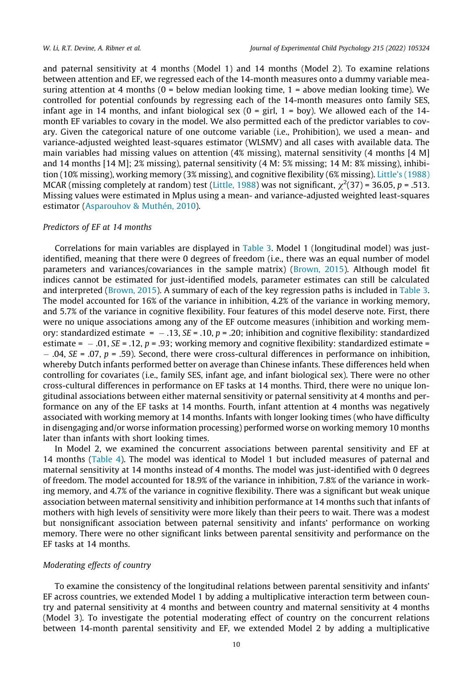and paternal sensitivity at 4 months (Model 1) and 14 months (Model 2). To examine relations between attention and EF, we regressed each of the 14-month measures onto a dummy variable measuring attention at 4 months  $(0 =$  below median looking time,  $1 =$  above median looking time). We controlled for potential confounds by regressing each of the 14-month measures onto family SES, infant age in 14 months, and infant biological sex  $(0 = \text{girl}, 1 = \text{boy})$ . We allowed each of the 14month EF variables to covary in the model. We also permitted each of the predictor variables to covary. Given the categorical nature of one outcome variable (i.e., Prohibition), we used a mean- and variance-adjusted weighted least-squares estimator (WLSMV) and all cases with available data. The main variables had missing values on attention (4% missing), maternal sensitivity (4 months [4 M] and 14 months [14 M]; 2% missing), paternal sensitivity (4 M: 5% missing; 14 M: 8% missing), inhibition (10% missing), working memory (3% missing), and cognitive flexibility (6% missing). [Little's \(1988\)](#page-17-0) MCAR (missing completely at random) test ([Little, 1988](#page-17-0)) was not significant,  $\chi^2(37)$  = 36.05, p = .513. Missing values were estimated in Mplus using a mean- and variance-adjusted weighted least-squares estimator ([Asparouhov & Muthén, 2010\)](#page-16-0).

#### Predictors of EF at 14 months

Correlations for main variables are displayed in [Table 3](#page-11-0). Model 1 (longitudinal model) was justidentified, meaning that there were 0 degrees of freedom (i.e., there was an equal number of model parameters and variances/covariances in the sample matrix) [\(Brown, 2015](#page-16-0)). Although model fit indices cannot be estimated for just-identified models, parameter estimates can still be calculated and interpreted [\(Brown, 2015](#page-16-0)). A summary of each of the key regression paths is included in [Table 3](#page-11-0). The model accounted for 16% of the variance in inhibition, 4.2% of the variance in working memory, and 5.7% of the variance in cognitive flexibility. Four features of this model deserve note. First, there were no unique associations among any of the EF outcome measures (inhibition and working memory: standardized estimate =  $-.13$ ,  $SE = .10$ ,  $p = .20$ ; inhibition and cognitive flexibility: standardized estimate =  $-0.01$ , SE = .12, p = .93; working memory and cognitive flexibility: standardized estimate =  $-$ .04, SE = .07, p = .59). Second, there were cross-cultural differences in performance on inhibition, whereby Dutch infants performed better on average than Chinese infants. These differences held when controlling for covariates (i.e., family SES, infant age, and infant biological sex). There were no other cross-cultural differences in performance on EF tasks at 14 months. Third, there were no unique longitudinal associations between either maternal sensitivity or paternal sensitivity at 4 months and performance on any of the EF tasks at 14 months. Fourth, infant attention at 4 months was negatively associated with working memory at 14 months. Infants with longer looking times (who have difficulty in disengaging and/or worse information processing) performed worse on working memory 10 months later than infants with short looking times.

In Model 2, we examined the concurrent associations between parental sensitivity and EF at 14 months ([Table 4](#page-12-0)). The model was identical to Model 1 but included measures of paternal and maternal sensitivity at 14 months instead of 4 months. The model was just-identified with 0 degrees of freedom. The model accounted for 18.9% of the variance in inhibition, 7.8% of the variance in working memory, and 4.7% of the variance in cognitive flexibility. There was a significant but weak unique association between maternal sensitivity and inhibition performance at 14 months such that infants of mothers with high levels of sensitivity were more likely than their peers to wait. There was a modest but nonsignificant association between paternal sensitivity and infants' performance on working memory. There were no other significant links between parental sensitivity and performance on the EF tasks at 14 months.

#### Moderating effects of country

To examine the consistency of the longitudinal relations between parental sensitivity and infants' EF across countries, we extended Model 1 by adding a multiplicative interaction term between country and paternal sensitivity at 4 months and between country and maternal sensitivity at 4 months (Model 3). To investigate the potential moderating effect of country on the concurrent relations between 14-month parental sensitivity and EF, we extended Model 2 by adding a multiplicative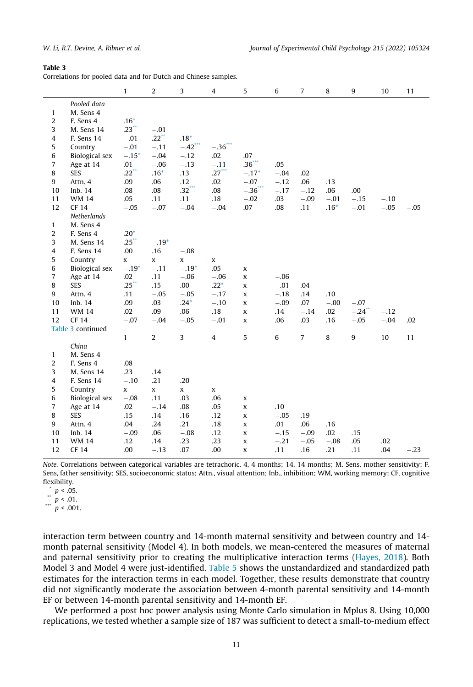#### <span id="page-11-0"></span>Table 3

Correlations for pooled data and for Dutch and Chinese samples.

|                                |                             | $\mathbf{1}$ | $\overline{2}$ | 3                     | $\overline{4}$ | 5                    | 6      | $\overline{7}$ | 8      | 9      | 10     | 11     |
|--------------------------------|-----------------------------|--------------|----------------|-----------------------|----------------|----------------------|--------|----------------|--------|--------|--------|--------|
|                                | Pooled data                 |              |                |                       |                |                      |        |                |        |        |        |        |
| $\mathbf{1}$                   | M. Sens 4                   |              |                |                       |                |                      |        |                |        |        |        |        |
| $\overline{2}$                 | F. Sens 4                   | $.16*$       |                |                       |                |                      |        |                |        |        |        |        |
| 3                              | M. Sens 14                  | .23          | $-.01$         |                       |                |                      |        |                |        |        |        |        |
| $\overline{4}$                 | F. Sens 14                  | $-.01$       | .22            | $.18*$                |                |                      |        |                |        |        |        |        |
| 5                              | Country                     | $-.01$       | $-.11$         | $-.42$ <sup>***</sup> | $-.36$         |                      |        |                |        |        |        |        |
| 6                              | Biological sex              | $-.15*$      | $-.04$         | $-.12$                | .02            | .07                  |        |                |        |        |        |        |
| $\overline{7}$                 | Age at 14                   | .01          | $-.06$         | $-.13$                | $-.11$         | .36                  | .05    |                |        |        |        |        |
| 8                              | <b>SES</b>                  | .22          | $.16*$         | .13                   | $.27$ ***      | $-.17*$              | $-.04$ | .02            |        |        |        |        |
| 9                              | Attn. 4                     | .09          | .06            | .12                   | .02            | $-.07$               | $-.12$ | .06            | .13    |        |        |        |
| 10                             | Inb. 14                     | .08          | .08            | $.32$ ***             | .08            | $-36$ <sup>***</sup> | $-.17$ | $-.12$         | .06    | .00    |        |        |
| 11                             | <b>WM 14</b>                | .05          | .11            | .11                   | .18            | $-.02$               | .03    | $-.09$         | $-.01$ | $-.15$ | $-.10$ |        |
| 12                             | <b>CF 14</b>                | $-.05$       | $-.07$         | $-.04$                | $-.04$         | .07                  | .08    | .11            | $.16*$ | $-.01$ | $-.05$ | $-.05$ |
|                                | Netherlands                 |              |                |                       |                |                      |        |                |        |        |        |        |
| $\mathbf{1}$                   | M. Sens 4                   |              |                |                       |                |                      |        |                |        |        |        |        |
| 2                              | F. Sens 4                   | $.20*$       |                |                       |                |                      |        |                |        |        |        |        |
| 3                              | M. Sens 14                  | .25          | $-.19*$        |                       |                |                      |        |                |        |        |        |        |
| $\overline{4}$                 | F. Sens 14                  | .00          | .16            | $-.08$                |                |                      |        |                |        |        |        |        |
| 5                              | Country                     | $\mathbf x$  | x              | X                     | X              |                      |        |                |        |        |        |        |
| 6                              | Biological sex              | $-.19*$      | $-.11$         | $-.19*$               | .05            | x                    |        |                |        |        |        |        |
| $\overline{7}$                 | Age at 14                   | .02          | .11            | $-.06$                | $-.06$         | x                    | $-.06$ |                |        |        |        |        |
| 8                              | <b>SES</b>                  | .25          | .15            | .00                   | $.22*$         | x                    | $-.01$ | .04            |        |        |        |        |
| 9                              | Attn. 4                     | .11          | $-.05$         | $-.05$                | $-.17$         | X                    | $-.18$ | .14            | .10    |        |        |        |
| 10                             | Inb. 14                     | .09          | .03            | $.24*$                | $-.10$         | X                    | $-.09$ | .07            | $-.00$ | $-.07$ |        |        |
| 11<br>12                       | <b>WM14</b><br><b>CF 14</b> | .02          | .09            | .06                   | .18            | X                    | .14    | $-.14$         | .02    | $-.24$ | $-.12$ |        |
|                                | Table 3 continued           | $-.07$       | $-.04$         | $-.05$                | $-.01$         | X                    | .06    | .03            | .16    | $-.05$ | $-.04$ | .02    |
|                                |                             | $\mathbf{1}$ | $\overline{2}$ | 3                     | 4              | 5                    | 6      | $\overline{7}$ | 8      | 9      | 10     | 11     |
|                                | China                       |              |                |                       |                |                      |        |                |        |        |        |        |
|                                | M. Sens 4                   |              |                |                       |                |                      |        |                |        |        |        |        |
| $\mathbf{1}$<br>$\overline{2}$ | F. Sens 4                   | .08          |                |                       |                |                      |        |                |        |        |        |        |
| 3                              |                             | .23          | .14            |                       |                |                      |        |                |        |        |        |        |
| $\overline{4}$                 | M. Sens 14<br>F. Sens 14    | $-.10$       | .21            | .20                   |                |                      |        |                |        |        |        |        |
| 5                              | Country                     | X            | X              | X                     | X              |                      |        |                |        |        |        |        |
| 6                              | <b>Biological</b> sex       | $-.08$       | .11            | .03                   | .06            | x                    |        |                |        |        |        |        |
| $\overline{7}$                 | Age at 14                   | .02          | $-.14$         | .08                   | .05            | x                    | .10    |                |        |        |        |        |
| 8                              | <b>SES</b>                  | .15          | .14            | .16                   | .12            | X                    | $-.05$ | .19            |        |        |        |        |
| 9                              | Attn. 4                     | .04          | .24            | .21                   | .18            | X                    | .01    | .06            | .16    |        |        |        |
| 10                             | Inb. 14                     | $-.09$       | .06            | $-.08$                | .12            | X                    | $-.15$ | $-.09$         | .02    | .15    |        |        |
| 11                             | <b>WM 14</b>                | .12          | .14            | .23                   | .23            | x                    | $-.21$ | $-.05$         | $-.08$ | .05    | .02    |        |
| 12                             | CF 14                       | .00          | $-.13$         | .07                   | .00            | x                    | .11    | .16            | .21    | .11    | .04    | $-.23$ |
|                                |                             |              |                |                       |                |                      |        |                |        |        |        |        |

Note. Correlations between categorical variables are tetrachoric. 4, 4 months; 14, 14 months; M. Sens, mother sensitivity; F. Sens, father sensitivity; SES, socioeconomic status; Attn., visual attention; Inb., inhibition; WM, working memory; CF, cognitive flexibility.

 $\sum_{n=1}^{n} p < 0.05$ .

\*\*  $p < .01$ .

 $p < .001$ .

interaction term between country and 14-month maternal sensitivity and between country and 14 month paternal sensitivity (Model 4). In both models, we mean-centered the measures of maternal and paternal sensitivity prior to creating the multiplicative interaction terms ([Hayes, 2018\)](#page-17-0). Both Model 3 and Model 4 were just-identified. [Table 5](#page-13-0) shows the unstandardized and standardized path estimates for the interaction terms in each model. Together, these results demonstrate that country did not significantly moderate the association between 4-month parental sensitivity and 14-month EF or between 14-month parental sensitivity and 14-month EF.

We performed a post hoc power analysis using Monte Carlo simulation in Mplus 8. Using 10,000 replications, we tested whether a sample size of 187 was sufficient to detect a small-to-medium effect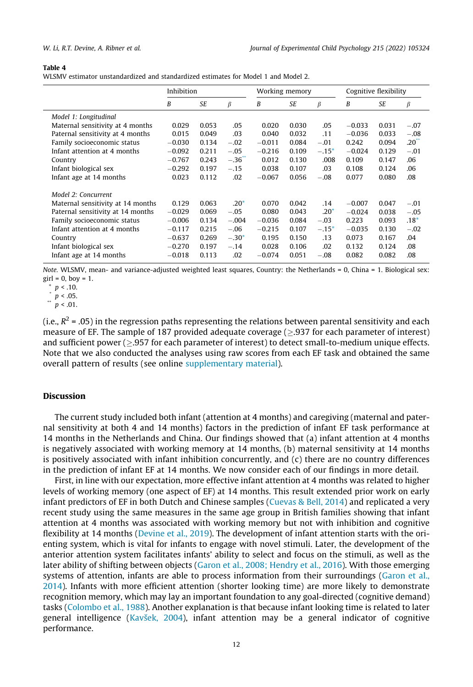#### <span id="page-12-0"></span>Table 4

WLSMV estimator unstandardized and standardized estimates for Model 1 and Model 2.

|                                   | Inhibition |           |         |          | Working memory |           | Cognitive flexibility |           |                 |
|-----------------------------------|------------|-----------|---------|----------|----------------|-----------|-----------------------|-----------|-----------------|
|                                   | B          | <b>SE</b> | β       | B        | SE             | $\beta$   | B                     | <b>SE</b> | β               |
| Model 1: Longitudinal             |            |           |         |          |                |           |                       |           |                 |
| Maternal sensitivity at 4 months  | 0.029      | 0.053     | .05     | 0.020    | 0.030          | .05       | $-0.033$              | 0.031     | $-.07$          |
| Paternal sensitivity at 4 months  | 0.015      | 0.049     | .03     | 0.040    | 0.032          | .11       | $-0.036$              | 0.033     | $-.08$          |
| Family socioeconomic status       | $-0.030$   | 0.134     | $-.02$  | $-0.011$ | 0.084          | $-.01$    | 0.242                 | 0.094     | $.20^{\degree}$ |
| Infant attention at 4 months      | $-0.092$   | 0.211     | $-.05$  | $-0.216$ | 0.109          | $-.15*$   | $-0.024$              | 0.129     | $-.01$          |
| Country                           | $-0.767$   | 0.243     | $-.36$  | 0.012    | 0.130          | .008      | 0.109                 | 0.147     | .06             |
| Infant biological sex             | $-0.292$   | 0.197     | $-.15$  | 0.038    | 0.107          | .03       | 0.108                 | 0.124     | .06             |
| Infant age at 14 months           | 0.023      | 0.112     | .02     | $-0.067$ | 0.056          | $-.08$    | 0.077                 | 0.080     | .08             |
| Model 2: Concurrent               |            |           |         |          |                |           |                       |           |                 |
| Maternal sensitivity at 14 months | 0.129      | 0.063     | $.20*$  | 0.070    | 0.042          | .14       | $-0.007$              | 0.047     | $-.01$          |
| Paternal sensitivity at 14 months | $-0.029$   | 0.069     | $-.05$  | 0.080    | 0.043          | $.20^{+}$ | $-0.024$              | 0.038     | $-.05$          |
| Family socioeconomic status       | $-0.006$   | 0.134     | $-.004$ | $-0.036$ | 0.084          | $-.03$    | 0.223                 | 0.093     | $.18*$          |
| Infant attention at 4 months      | $-0.117$   | 0.215     | $-.06$  | $-0.215$ | 0.107          | $-.15*$   | $-0.035$              | 0.130     | $-.02$          |
| Country                           | $-0.637$   | 0.269     | $-.30*$ | 0.195    | 0.150          | .13       | 0.073                 | 0.167     | .04             |
| Infant biological sex             | $-0.270$   | 0.197     | $-.14$  | 0.028    | 0.106          | .02       | 0.132                 | 0.124     | .08             |
| Infant age at 14 months           | $-0.018$   | 0.113     | .02     | $-0.074$ | 0.051          | $-.08$    | 0.082                 | 0.082     | .08             |

Note. WLSMV, mean- and variance-adjusted weighted least squares, Country: the Netherlands = 0, China = 1. Biological sex:  $girl = 0$ , boy = 1.

 $^{\circ}$   $p$  < .10.

 $\sum_{n=1}^{\infty} p < .05$ .

 $p < .01$ .

(i.e.,  $R^2$  = .05) in the regression paths representing the relations between parental sensitivity and each measure of EF. The sample of 187 provided adequate coverage  $(>0.937)$  for each parameter of interest) and sufficient power  $($  >.957 for each parameter of interest) to detect small-to-medium unique effects. Note that we also conducted the analyses using raw scores from each EF task and obtained the same overall pattern of results (see online supplementary material).

#### Discussion

The current study included both infant (attention at 4 months) and caregiving (maternal and paternal sensitivity at both 4 and 14 months) factors in the prediction of infant EF task performance at 14 months in the Netherlands and China. Our findings showed that (a) infant attention at 4 months is negatively associated with working memory at 14 months, (b) maternal sensitivity at 14 months is positively associated with infant inhibition concurrently, and (c) there are no country differences in the prediction of infant EF at 14 months. We now consider each of our findings in more detail.

First, in line with our expectation, more effective infant attention at 4 months was related to higher levels of working memory (one aspect of EF) at 14 months. This result extended prior work on early infant predictors of EF in both Dutch and Chinese samples ([Cuevas & Bell, 2014\)](#page-16-0) and replicated a very recent study using the same measures in the same age group in British families showing that infant attention at 4 months was associated with working memory but not with inhibition and cognitive flexibility at 14 months ([Devine et al., 2019\)](#page-16-0). The development of infant attention starts with the orienting system, which is vital for infants to engage with novel stimuli. Later, the development of the anterior attention system facilitates infants' ability to select and focus on the stimuli, as well as the later ability of shifting between objects [\(Garon et al., 2008; Hendry et al., 2016](#page-17-0)). With those emerging systems of attention, infants are able to process information from their surroundings [\(Garon et al.,](#page-17-0) [2014\)](#page-17-0). Infants with more efficient attention (shorter looking time) are more likely to demonstrate recognition memory, which may lay an important foundation to any goal-directed (cognitive demand) tasks ([Colombo et al., 1988](#page-16-0)). Another explanation is that because infant looking time is related to later general intelligence [\(Kavšek, 2004\)](#page-17-0), infant attention may be a general indicator of cognitive performance.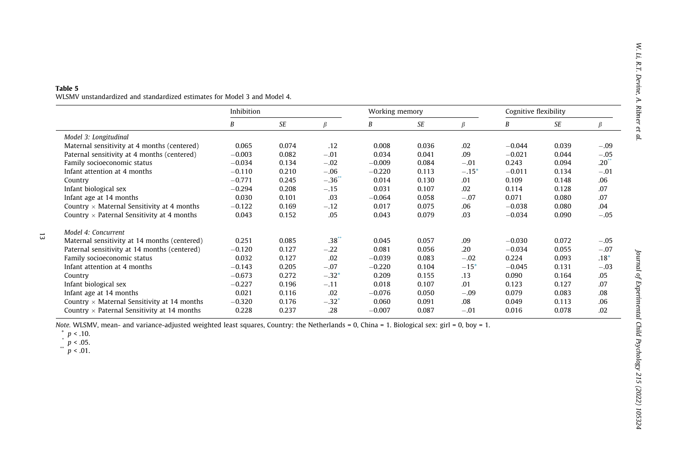#### <span id="page-13-0"></span>Table 5

WLSMV unstandardized and standardized estimates for Model 3 and Model 4.

|                                                    | Inhibition |       |                     | Working memory |       |         | Cognitive flexibility |       |        |
|----------------------------------------------------|------------|-------|---------------------|----------------|-------|---------|-----------------------|-------|--------|
|                                                    | B          | SE    | ß                   | B              | SE    | ß       | B                     | SE    | ß      |
| Model 3: Longitudinal                              |            |       |                     |                |       |         |                       |       |        |
| Maternal sensitivity at 4 months (centered)        | 0.065      | 0.074 | .12                 | 0.008          | 0.036 | .02     | $-0.044$              | 0.039 | $-.09$ |
| Paternal sensitivity at 4 months (centered)        | $-0.003$   | 0.082 | $-.01$              | 0.034          | 0.041 | .09     | $-0.021$              | 0.044 | $-.05$ |
| Family socioeconomic status                        | $-0.034$   | 0.134 | $-.02$              | $-0.009$       | 0.084 | $-.01$  | 0.243                 | 0.094 | .20    |
| Infant attention at 4 months                       | $-0.110$   | 0.210 | $-.06$              | $-0.220$       | 0.113 | $-.15*$ | $-0.011$              | 0.134 | $-.01$ |
| Country                                            | $-0.771$   | 0.245 | $-.36$              | 0.014          | 0.130 | .01     | 0.109                 | 0.148 | .06    |
| Infant biological sex                              | $-0.294$   | 0.208 | $-.15$              | 0.031          | 0.107 | .02     | 0.114                 | 0.128 | .07    |
| Infant age at 14 months                            | 0.030      | 0.101 | .03                 | $-0.064$       | 0.058 | $-.07$  | 0.071                 | 0.080 | .07    |
| Country $\times$ Maternal Sensitivity at 4 months  | $-0.122$   | 0.169 | $-.12$              | 0.017          | 0.075 | .06     | $-0.038$              | 0.080 | .04    |
| Country $\times$ Paternal Sensitivity at 4 months  | 0.043      | 0.152 | .05                 | 0.043          | 0.079 | .03     | $-0.034$              | 0.090 | $-.05$ |
| Model 4: Concurrent                                |            |       |                     |                |       |         |                       |       |        |
| Maternal sensitivity at 14 months (centered)       | 0.251      | 0.085 | $.38$ $\cdots$      | 0.045          | 0.057 | .09     | $-0.030$              | 0.072 | $-.05$ |
| Paternal sensitivity at 14 months (centered)       | $-0.120$   | 0.127 | $-.22$              | 0.081          | 0.056 | .20     | $-0.034$              | 0.055 | $-.07$ |
| Family socioeconomic status                        | 0.032      | 0.127 | .02                 | $-0.039$       | 0.083 | $-.02$  | 0.224                 | 0.093 | $.18*$ |
| Infant attention at 4 months                       | $-0.143$   | 0.205 | $-.07$              | $-0.220$       | 0.104 | $-15*$  | $-0.045$              | 0.131 | $-.03$ |
| Country                                            | $-0.673$   | 0.272 | $-.32*$             | 0.209          | 0.155 | .13     | 0.090                 | 0.164 | .05    |
| Infant biological sex                              | $-0.227$   | 0.196 | $-.11$              | 0.018          | 0.107 | .01     | 0.123                 | 0.127 | .07    |
| Infant age at 14 months                            | 0.021      | 0.116 | .02                 | $-0.076$       | 0.050 | $-.09$  | 0.079                 | 0.083 | .08    |
| Country $\times$ Maternal Sensitivity at 14 months | $-0.320$   | 0.176 | $-.32$ <sup>+</sup> | 0.060          | 0.091 | .08     | 0.049                 | 0.113 | .06    |
| Country $\times$ Paternal Sensitivity at 14 months | 0.228      | 0.237 | .28                 | $-0.007$       | 0.087 | $-.01$  | 0.016                 | 0.078 | .02    |

Note. WLSMV, mean- and variance-adjusted weighted least squares, Country: the Netherlands <sup>=</sup> 0, China <sup>=</sup> 1. Biological sex: girl <sup>=</sup> 0, boy <sup>=</sup> 1.

 $\overline{\omega}$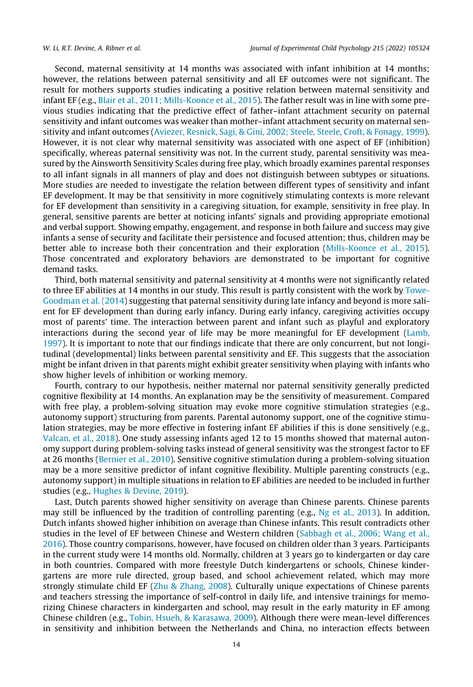Second, maternal sensitivity at 14 months was associated with infant inhibition at 14 months; however, the relations between paternal sensitivity and all EF outcomes were not significant. The result for mothers supports studies indicating a positive relation between maternal sensitivity and infant EF (e.g., [Blair et al., 2011; Mills-Koonce et al., 2015\)](#page-16-0). The father result was in line with some previous studies indicating that the predictive effect of father–infant attachment security on paternal sensitivity and infant outcomes was weaker than mother–infant attachment security on maternal sensitivity and infant outcomes ([Aviezer, Resnick, Sagi, & Gini, 2002; Steele, Steele, Croft, & Fonagy, 1999](#page-16-0)). However, it is not clear why maternal sensitivity was associated with one aspect of EF (inhibition) specifically, whereas paternal sensitivity was not. In the current study, parental sensitivity was measured by the Ainsworth Sensitivity Scales during free play, which broadly examines parental responses to all infant signals in all manners of play and does not distinguish between subtypes or situations. More studies are needed to investigate the relation between different types of sensitivity and infant EF development. It may be that sensitivity in more cognitively stimulating contexts is more relevant for EF development than sensitivity in a caregiving situation, for example, sensitivity in free play. In general, sensitive parents are better at noticing infants' signals and providing appropriate emotional and verbal support. Showing empathy, engagement, and response in both failure and success may give infants a sense of security and facilitate their persistence and focused attention; thus, children may be better able to increase both their concentration and their exploration ([Mills-Koonce et al., 2015](#page-17-0)). Those concentrated and exploratory behaviors are demonstrated to be important for cognitive demand tasks.

Third, both maternal sensitivity and paternal sensitivity at 4 months were not significantly related to three EF abilities at 14 months in our study. This result is partly consistent with the work by [Towe-](#page-18-0)[Goodman et al. \(2014\)](#page-18-0) suggesting that paternal sensitivity during late infancy and beyond is more salient for EF development than during early infancy. During early infancy, caregiving activities occupy most of parents' time. The interaction between parent and infant such as playful and exploratory interactions during the second year of life may be more meaningful for EF development ([Lamb,](#page-17-0) [1997\)](#page-17-0). It is important to note that our findings indicate that there are only concurrent, but not longitudinal (developmental) links between parental sensitivity and EF. This suggests that the association might be infant driven in that parents might exhibit greater sensitivity when playing with infants who show higher levels of inhibition or working memory.

Fourth, contrary to our hypothesis, neither maternal nor paternal sensitivity generally predicted cognitive flexibility at 14 months. An explanation may be the sensitivity of measurement. Compared with free play, a problem-solving situation may evoke more cognitive stimulation strategies (e.g., autonomy support) structuring from parents. Parental autonomy support, one of the cognitive stimulation strategies, may be more effective in fostering infant EF abilities if this is done sensitively (e.g., [Valcan, et al., 2018\)](#page-18-0). One study assessing infants aged 12 to 15 months showed that maternal autonomy support during problem-solving tasks instead of general sensitivity was the strongest factor to EF at 26 months ([Bernier et al., 2010](#page-16-0)). Sensitive cognitive stimulation during a problem-solving situation may be a more sensitive predictor of infant cognitive flexibility. Multiple parenting constructs (e.g., autonomy support) in multiple situations in relation to EF abilities are needed to be included in further studies (e.g., [Hughes & Devine, 2019](#page-17-0)).

Last, Dutch parents showed higher sensitivity on average than Chinese parents. Chinese parents may still be influenced by the tradition of controlling parenting (e.g.,  $Ng$  et al., 2013). In addition, Dutch infants showed higher inhibition on average than Chinese infants. This result contradicts other studies in the level of EF between Chinese and Western children ([Sabbagh et al., 2006; Wang et al.,](#page-17-0) [2016\)](#page-17-0). Those country comparisons, however, have focused on children older than 3 years. Participants in the current study were 14 months old. Normally, children at 3 years go to kindergarten or day care in both countries. Compared with more freestyle Dutch kindergartens or schools, Chinese kindergartens are more rule directed, group based, and school achievement related, which may more strongly stimulate child EF ([Zhu & Zhang, 2008](#page-18-0)). Culturally unique expectations of Chinese parents and teachers stressing the importance of self-control in daily life, and intensive trainings for memorizing Chinese characters in kindergarten and school, may result in the early maturity in EF among Chinese children (e.g., [Tobin, Hsueh, & Karasawa, 2009](#page-18-0)). Although there were mean-level differences in sensitivity and inhibition between the Netherlands and China, no interaction effects between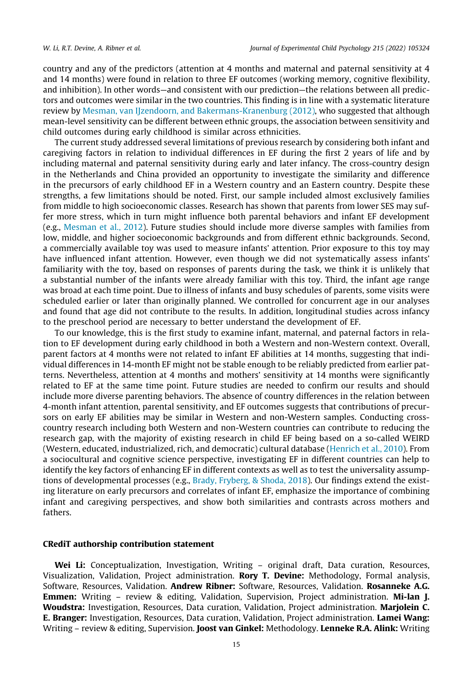country and any of the predictors (attention at 4 months and maternal and paternal sensitivity at 4 and 14 months) were found in relation to three EF outcomes (working memory, cognitive flexibility, and inhibition). In other words—and consistent with our prediction—the relations between all predictors and outcomes were similar in the two countries. This finding is in line with a systematic literature review by [Mesman, van IJzendoorn, and Bakermans-Kranenburg \(2012\),](#page-17-0) who suggested that although mean-level sensitivity can be different between ethnic groups, the association between sensitivity and child outcomes during early childhood is similar across ethnicities.

The current study addressed several limitations of previous research by considering both infant and caregiving factors in relation to individual differences in EF during the first 2 years of life and by including maternal and paternal sensitivity during early and later infancy. The cross-country design in the Netherlands and China provided an opportunity to investigate the similarity and difference in the precursors of early childhood EF in a Western country and an Eastern country. Despite these strengths, a few limitations should be noted. First, our sample included almost exclusively families from middle to high socioeconomic classes. Research has shown that parents from lower SES may suffer more stress, which in turn might influence both parental behaviors and infant EF development (e.g., [Mesman et al., 2012\)](#page-17-0). Future studies should include more diverse samples with families from low, middle, and higher socioeconomic backgrounds and from different ethnic backgrounds. Second, a commercially available toy was used to measure infants' attention. Prior exposure to this toy may have influenced infant attention. However, even though we did not systematically assess infants' familiarity with the toy, based on responses of parents during the task, we think it is unlikely that a substantial number of the infants were already familiar with this toy. Third, the infant age range was broad at each time point. Due to illness of infants and busy schedules of parents, some visits were scheduled earlier or later than originally planned. We controlled for concurrent age in our analyses and found that age did not contribute to the results. In addition, longitudinal studies across infancy to the preschool period are necessary to better understand the development of EF.

To our knowledge, this is the first study to examine infant, maternal, and paternal factors in relation to EF development during early childhood in both a Western and non-Western context. Overall, parent factors at 4 months were not related to infant EF abilities at 14 months, suggesting that individual differences in 14-month EF might not be stable enough to be reliably predicted from earlier patterns. Nevertheless, attention at 4 months and mothers' sensitivity at 14 months were significantly related to EF at the same time point. Future studies are needed to confirm our results and should include more diverse parenting behaviors. The absence of country differences in the relation between 4-month infant attention, parental sensitivity, and EF outcomes suggests that contributions of precursors on early EF abilities may be similar in Western and non-Western samples. Conducting crosscountry research including both Western and non-Western countries can contribute to reducing the research gap, with the majority of existing research in child EF being based on a so-called WEIRD (Western, educated, industrialized, rich, and democratic) cultural database [\(Henrich et al., 2010\)](#page-17-0). From a sociocultural and cognitive science perspective, investigating EF in different countries can help to identify the key factors of enhancing EF in different contexts as well as to test the universality assumptions of developmental processes (e.g., [Brady, Fryberg, & Shoda, 2018](#page-16-0)). Our findings extend the existing literature on early precursors and correlates of infant EF, emphasize the importance of combining infant and caregiving perspectives, and show both similarities and contrasts across mothers and fathers.

#### CRediT authorship contribution statement

Wei Li: Conceptualization, Investigation, Writing – original draft, Data curation, Resources, Visualization, Validation, Project administration. Rory T. Devine: Methodology, Formal analysis, Software, Resources, Validation. Andrew Ribner: Software, Resources, Validation. Rosanneke A.G. Emmen: Writing – review & editing, Validation, Supervision, Project administration. Mi-lan J. Woudstra: Investigation, Resources, Data curation, Validation, Project administration. Marjolein C. E. Branger: Investigation, Resources, Data curation, Validation, Project administration. Lamei Wang: Writing – review & editing, Supervision. Joost van Ginkel: Methodology. Lenneke R.A. Alink: Writing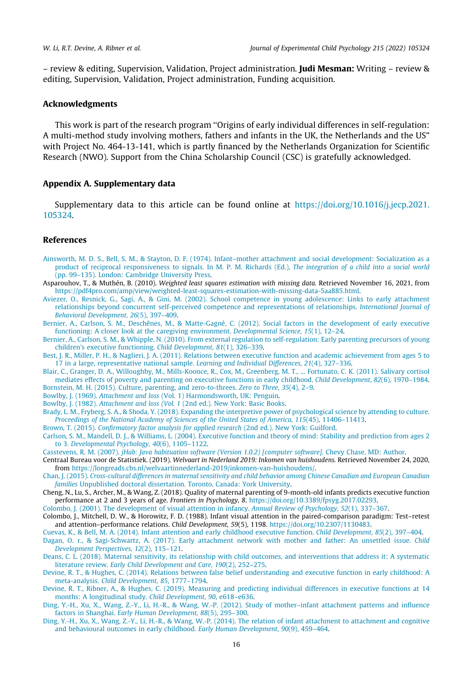<span id="page-16-0"></span>– review & editing, Supervision, Validation, Project administration. Judi Mesman: Writing – review & editing, Supervision, Validation, Project administration, Funding acquisition.

#### Acknowledgments

This work is part of the research program ''Origins of early individual differences in self-regulation: A multi-method study involving mothers, fathers and infants in the UK, the Netherlands and the US" with Project No. 464-13-141, which is partly financed by the Netherlands Organization for Scientific Research (NWO). Support from the China Scholarship Council (CSC) is gratefully acknowledged.

#### Appendix A. Supplementary data

Supplementary data to this article can be found online at [https://doi.org/10.1016/j.jecp.2021.](https://doi.org/10.1016/j.jecp.2021.105324) [105324](https://doi.org/10.1016/j.jecp.2021.105324).

#### References

- [Ainsworth, M. D. S., Bell, S. M., & Stayton, D. F. \(1974\). Infant–mother attachment and social development: Socialization as a](http://refhub.elsevier.com/S0022-0965(21)00242-3/h0005) [product of reciprocal responsiveness to signals. In M. P. M. Richards \(Ed.\),](http://refhub.elsevier.com/S0022-0965(21)00242-3/h0005) The integration of a child into a social world [\(pp. 99–135\). London: Cambridge University Press](http://refhub.elsevier.com/S0022-0965(21)00242-3/h0005).
- Asparouhov, T., & Muthén, B. (2010). Weighted least squares estimation with missing data. Retrieved November 16, 2021, from [https://pdf4pro.com/amp/view/weighted-least-squares-estimation-with-missing-data-5aa885.html.](https://pdf4pro.com/amp/view/weighted-least-squares-estimation-with-missing-data-5aa885.html)
- [Aviezer, O., Resnick, G., Sagi, A., & Gini, M. \(2002\). School competence in young adolescence: Links to early attachment](http://refhub.elsevier.com/S0022-0965(21)00242-3/h0015) [relationships beyond concurrent self-perceived competence and representations of relationships.](http://refhub.elsevier.com/S0022-0965(21)00242-3/h0015) International Journal of [Behavioral Development, 26](http://refhub.elsevier.com/S0022-0965(21)00242-3/h0015)(5), 397–409.
- [Bernier, A., Carlson, S. M., Deschênes, M., & Matte-Gagné, C. \(2012\). Social factors in the development of early executive](http://refhub.elsevier.com/S0022-0965(21)00242-3/h0020) [functioning: A closer look at the caregiving environment.](http://refhub.elsevier.com/S0022-0965(21)00242-3/h0020) Developmental Science, 15(1), 12–24.
- [Bernier, A., Carlson, S. M., & Whipple, N. \(2010\). From external regulation to self-regulation: Early parenting precursors of young](http://refhub.elsevier.com/S0022-0965(21)00242-3/h0025) [children's executive functioning.](http://refhub.elsevier.com/S0022-0965(21)00242-3/h0025) Child Development, 81(1), 326–339.
- [Best, J. R., Miller, P. H., & Naglieri, J. A. \(2011\). Relations between executive function and academic achievement from ages 5 to](http://refhub.elsevier.com/S0022-0965(21)00242-3/h0030) [17 in a large, representative national sample.](http://refhub.elsevier.com/S0022-0965(21)00242-3/h0030) Learning and Individual Differences, 21(4), 327–336.
- [Blair, C., Granger, D. A., Willoughby, M., Mills-Koonce, R., Cox, M., Greenberg, M. T., ... Fortunato, C. K. \(2011\). Salivary cortisol](http://refhub.elsevier.com/S0022-0965(21)00242-3/h0035) [mediates effects of poverty and parenting on executive functions in early childhood.](http://refhub.elsevier.com/S0022-0965(21)00242-3/h0035) Child Development, 82(6), 1970–1984. [Bornstein, M. H. \(2015\). Culture, parenting, and zero-to-threes.](http://refhub.elsevier.com/S0022-0965(21)00242-3/h0040) Zero to Three, 35(4), 2–9.
- Bowlby, J. (1969). Attachment and loss [\(Vol. 1\) Harmondsworth, UK: Penguin.](http://refhub.elsevier.com/S0022-0965(21)00242-3/h0045)
- Bowlby, J. (1982). Attachment and loss (Vol. 1 [\(2nd ed.\). New York: Basic Books.](http://refhub.elsevier.com/S0022-0965(21)00242-3/h0050)
- [Brady, L. M., Fryberg, S. A., & Shoda, Y. \(2018\). Expanding the interpretive power of psychological science by attending to culture.](http://refhub.elsevier.com/S0022-0965(21)00242-3/h0055) [Proceedings of the National Academy of Sciences of the United States of America, 115](http://refhub.elsevier.com/S0022-0965(21)00242-3/h0055)(45), 11406–11413.
- Brown, T. (2015). [Confirmatory factor analysis for applied research](http://refhub.elsevier.com/S0022-0965(21)00242-3/h0060) (2nd ed.). New York: Guilford.
- [Carlson, S. M., Mandell, D. J., & Williams, L. \(2004\). Executive function and theory of mind: Stability and prediction from ages 2](http://refhub.elsevier.com/S0022-0965(21)00242-3/h0070) to 3. [Developmental Psychology, 40](http://refhub.elsevier.com/S0022-0965(21)00242-3/h0070)(6), 1105–1122.
- Casstevens, R. M. (2007). [jHab: Java habituation software \(Version 1.0.2\) \[computer software\]](http://refhub.elsevier.com/S0022-0965(21)00242-3/h0075). Chevy Chase, MD: Author.
- Centraal Bureau voor de Statistiek. (2019). Welvaart in Nederland 2019: Inkomen van huishoudens. Retrieved November 24, 2020, from <https://longreads.cbs.nl/welvaartinnederland-2019/inkomen-van-huishoudens/>.
- Chan, J. (2015). [Cross-cultural differences in maternal sensitivity and child behavior among Chinese Canadian and European Canadian](http://refhub.elsevier.com/S0022-0965(21)00242-3/h0085) families [Unpublished doctoral dissertation. Toronto, Canada: York University](http://refhub.elsevier.com/S0022-0965(21)00242-3/h0085).
- Cheng, N., Lu, S., Archer, M., & Wang, Z. (2018). Quality of maternal parenting of 9-month-old infants predicts executive function performance at 2 and 3 years of age. Frontiers in Psychology, 8. [https://doi.org/10.3389/fpsyg.2017.02293.](https://doi.org/10.3389/fpsyg.2017.02293)
- [Colombo, J. \(2001\). The development of visual attention in infancy.](http://refhub.elsevier.com/S0022-0965(21)00242-3/h0095) Annual Review of Psychology, 52(1), 337–367.
- Colombo, J., Mitchell, D. W., & Horowitz, F. D. (1988). Infant visual attention in the paired-comparison paradigm: Test–retest and attention–performance relations. Child Development, 59(5), 1198. <https://doi.org/10.2307/1130483>.
- [Cuevas, K., & Bell, M. A. \(2014\). Infant attention and early childhood executive function.](http://refhub.elsevier.com/S0022-0965(21)00242-3/h0105) Child Development, 85(2), 397–404.
- [Dagan, O. r., & Sagi-Schwartz, A. \(2017\). Early attachment network with mother and father: An unsettled issue.](http://refhub.elsevier.com/S0022-0965(21)00242-3/h0110) Child [Development Perspectives, 12](http://refhub.elsevier.com/S0022-0965(21)00242-3/h0110)(2), 115–121.
- [Deans, C. L. \(2018\). Maternal sensitivity, its relationship with child outcomes, and interventions that address it: A systematic](http://refhub.elsevier.com/S0022-0965(21)00242-3/h0115) literature review. [Early Child Development and Care, 190](http://refhub.elsevier.com/S0022-0965(21)00242-3/h0115)(2), 252–275.
- [Devine, R. T., & Hughes, C. \(2014\). Relations between false belief understanding and executive function in early childhood: A](http://refhub.elsevier.com/S0022-0965(21)00242-3/h0125) meta-analysis. [Child Development, 85](http://refhub.elsevier.com/S0022-0965(21)00242-3/h0125), 1777–1794.
- [Devine, R. T., Ribner, A., & Hughes, C. \(2019\). Measuring and predicting individual differences in executive functions at 14](http://refhub.elsevier.com/S0022-0965(21)00242-3/h0130) [months: A longitudinal study.](http://refhub.elsevier.com/S0022-0965(21)00242-3/h0130) Child Development, 90, e618–e636.
- [Ding, Y.-H., Xu, X., Wang, Z.-Y., Li, H.-R., & Wang, W.-P. \(2012\). Study of mother–infant attachment patterns and influence](http://refhub.elsevier.com/S0022-0965(21)00242-3/h0135) factors in Shanghai. [Early Human Development, 88](http://refhub.elsevier.com/S0022-0965(21)00242-3/h0135)(5), 295–300.
- [Ding, Y.-H., Xu, X., Wang, Z.-Y., Li, H.-R., & Wang, W.-P. \(2014\). The relation of infant attachment to attachment and cognitive](http://refhub.elsevier.com/S0022-0965(21)00242-3/h0140) [and behavioural outcomes in early childhood.](http://refhub.elsevier.com/S0022-0965(21)00242-3/h0140) Early Human Development, 90(9), 459–464.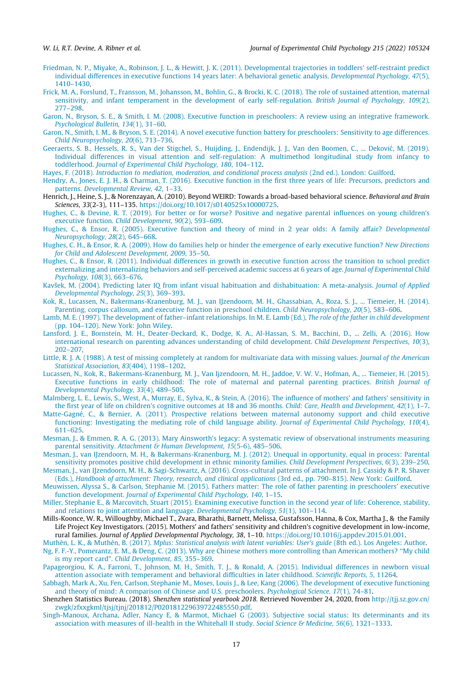- <span id="page-17-0"></span>[Friedman, N. P., Miyake, A., Robinson, J. L., & Hewitt, J. K. \(2011\). Developmental trajectories in toddlers' self-restraint predict](http://refhub.elsevier.com/S0022-0965(21)00242-3/h0145) [individual differences in executive functions 14 years later: A behavioral genetic analysis.](http://refhub.elsevier.com/S0022-0965(21)00242-3/h0145) Developmental Psychology, 47(5), [1410–1430.](http://refhub.elsevier.com/S0022-0965(21)00242-3/h0145)
- [Frick, M. A., Forslund, T., Fransson, M., Johansson, M., Bohlin, G., & Brocki, K. C. \(2018\). The role of sustained attention, maternal](http://refhub.elsevier.com/S0022-0965(21)00242-3/h0150) [sensitivity, and infant temperament in the development of early self-regulation.](http://refhub.elsevier.com/S0022-0965(21)00242-3/h0150) British Journal of Psychology, 109(2), [277–298](http://refhub.elsevier.com/S0022-0965(21)00242-3/h0150).
- [Garon, N., Bryson, S. E., & Smith, I. M. \(2008\). Executive function in preschoolers: A review using an integrative framework.](http://refhub.elsevier.com/S0022-0965(21)00242-3/h0155) [Psychological Bulletin, 134](http://refhub.elsevier.com/S0022-0965(21)00242-3/h0155)(1), 31–60.
- [Garon, N., Smith, I. M., & Bryson, S. E. \(2014\). A novel executive function battery for preschoolers: Sensitivity to age differences.](http://refhub.elsevier.com/S0022-0965(21)00242-3/h0160) [Child Neuropsychology, 20](http://refhub.elsevier.com/S0022-0965(21)00242-3/h0160)(6), 713–736.
- Geeraerts, S. B., Hessels, R. S., Van der Stigchel, S., Huijding, J., Endendijk, J. J., Van den Boomen, C., ... Deković, M. (2019). [Individual differences in visual attention and self-regulation: A multimethod longitudinal study from infancy to](http://refhub.elsevier.com/S0022-0965(21)00242-3/h0165) toddlerhood. [Journal of Experimental Child Psychology, 180](http://refhub.elsevier.com/S0022-0965(21)00242-3/h0165), 104–112.
- Hayes, F. (2018). [Introduction to mediation, moderation, and conditional process analysis](http://refhub.elsevier.com/S0022-0965(21)00242-3/h0170) (2nd ed.). London: Guilford.
- [Hendry, A., Jones, E. J. H., & Charman, T. \(2016\). Executive function in the first three years of life: Precursors, predictors and](http://refhub.elsevier.com/S0022-0965(21)00242-3/h0175) patterns. [Developmental Review, 42](http://refhub.elsevier.com/S0022-0965(21)00242-3/h0175), 1–33.
- Henrich, J., Heine, S. J., & Norenzayan, A. (2010). Beyond WEIRD: Towards a broad-based behavioral science. Behavioral and Brain Sciences, 33(2-3), 111–135. <https://doi.org/10.1017/s0140525x10000725>.
- [Hughes, C., & Devine, R. T. \(2019\). For better or for worse? Positive and negative parental influences on young children's](http://refhub.elsevier.com/S0022-0965(21)00242-3/h0185) executive function. [Child Development, 90](http://refhub.elsevier.com/S0022-0965(21)00242-3/h0185)(2), 593–609.
- [Hughes, C., & Ensor, R. \(2005\). Executive function and theory of mind in 2 year olds: A family affair?](http://refhub.elsevier.com/S0022-0965(21)00242-3/h0190) Developmental [Neuropsychology, 28](http://refhub.elsevier.com/S0022-0965(21)00242-3/h0190)(2), 645–668.
- [Hughes, C. H., & Ensor, R. A. \(2009\). How do families help or hinder the emergence of early executive function?](http://refhub.elsevier.com/S0022-0965(21)00242-3/h0195) New Directions [for Child and Adolescent Development, 2009](http://refhub.elsevier.com/S0022-0965(21)00242-3/h0195), 35–50.
- [Hughes, C., & Ensor, R. \(2011\). Individual differences in growth in executive function across the transition to school predict](http://refhub.elsevier.com/S0022-0965(21)00242-3/h0200) [externalizing and internalizing behaviors and self-perceived academic success at 6 years of age.](http://refhub.elsevier.com/S0022-0965(21)00242-3/h0200) Journal of Experimental Child [Psychology, 108](http://refhub.elsevier.com/S0022-0965(21)00242-3/h0200)(3), 663–676.
- [Kavšek, M. \(2004\). Predicting later IQ from infant visual habituation and dishabituation: A meta-analysis.](http://refhub.elsevier.com/S0022-0965(21)00242-3/h0205) Journal of Applied [Developmental Psychology, 25](http://refhub.elsevier.com/S0022-0965(21)00242-3/h0205)(3), 369–393.
- [Kok, R., Lucassen, N., Bakermans-Kranenburg, M. J., van IJzendoorn, M. H., Ghassabian, A., Roza, S. J., ... Tiemeier, H. \(2014\).](http://refhub.elsevier.com/S0022-0965(21)00242-3/h0210) [Parenting, corpus callosum, and executive function in preschool children.](http://refhub.elsevier.com/S0022-0965(21)00242-3/h0210) Child Neuropsychology, 20(5), 583–606.
- [Lamb, M. E. \(1997\). The development of father–infant relationships. In M. E. Lamb \(Ed.\),](http://refhub.elsevier.com/S0022-0965(21)00242-3/h0215) The role of the father in child development [\(pp. 104–120\). New York: John Wiley](http://refhub.elsevier.com/S0022-0965(21)00242-3/h0215).
- [Lansford, J. E., Bornstein, M. H., Deater-Deckard, K., Dodge, K. A., Al-Hassan, S. M., Bacchini, D., ... Zelli, A. \(2016\). How](http://refhub.elsevier.com/S0022-0965(21)00242-3/h0220) [international research on parenting advances understanding of child development.](http://refhub.elsevier.com/S0022-0965(21)00242-3/h0220) Child Development Perspectives, 10(3), [202–207](http://refhub.elsevier.com/S0022-0965(21)00242-3/h0220).
- [Little, R. J. A. \(1988\). A test of missing completely at random for multivariate data with missing values.](http://refhub.elsevier.com/S0022-0965(21)00242-3/h0225) Journal of the American [Statistical Association, 83](http://refhub.elsevier.com/S0022-0965(21)00242-3/h0225)(404), 1198–1202.
- [Lucassen, N., Kok, R., Bakermans-Kranenburg, M. J., Van Ijzendoorn, M. H., Jaddoe, V. W. V., Hofman, A., ... Tiemeier, H. \(2015\).](http://refhub.elsevier.com/S0022-0965(21)00242-3/h0230) [Executive functions in early childhood: The role of maternal and paternal parenting practices.](http://refhub.elsevier.com/S0022-0965(21)00242-3/h0230) British Journal of [Developmental Psychology, 33](http://refhub.elsevier.com/S0022-0965(21)00242-3/h0230)(4), 489–505.
- [Malmberg, L. E., Lewis, S., West, A., Murray, E., Sylva, K., & Stein, A. \(2016\). The influence of mothers' and fathers' sensitivity in](http://refhub.elsevier.com/S0022-0965(21)00242-3/h0235) [the first year of life on children's cognitive outcomes at 18 and 36 months.](http://refhub.elsevier.com/S0022-0965(21)00242-3/h0235) Child: Care, Health and Development, 42(1), 1-7.
- [Matte-Gagné, C., & Bernier, A. \(2011\). Prospective relations between maternal autonomy support and child executive](http://refhub.elsevier.com/S0022-0965(21)00242-3/h0240) [functioning: Investigating the mediating role of child language ability.](http://refhub.elsevier.com/S0022-0965(21)00242-3/h0240) Journal of Experimental Child Psychology, 110(4), [611–625](http://refhub.elsevier.com/S0022-0965(21)00242-3/h0240).
- [Mesman, J., & Emmen, R. A. G. \(2013\). Mary Ainsworth's legacy: A systematic review of observational instruments measuring](http://refhub.elsevier.com/S0022-0965(21)00242-3/h0245) parental sensitivity. [Attachment & Human Development, 15](http://refhub.elsevier.com/S0022-0965(21)00242-3/h0245)(5-6), 485–506.
- [Mesman, J., van IJzendoorn, M. H., & Bakermans-Kranenburg, M. J. \(2012\). Unequal in opportunity, equal in process: Parental](http://refhub.elsevier.com/S0022-0965(21)00242-3/h0250) [sensitivity promotes positive child development in ethnic minority families.](http://refhub.elsevier.com/S0022-0965(21)00242-3/h0250) Child Development Perspectives, 6(3), 239–250.
- [Mesman, J., van IJzendoorn, M. H., & Sagi-Schwartz, A. \(2016\). Cross-cultural patterns of attachment. In J. Cassidy & P. R. Shaver](http://refhub.elsevier.com/S0022-0965(21)00242-3/h0255) (Eds.), [Handbook of attachment: Theory, research, and clinical applications](http://refhub.elsevier.com/S0022-0965(21)00242-3/h0255) (3rd ed., pp. 790–815). New York: Guilford.
- [Meuwissen, Alyssa S., & Carlson, Stephanie M. \(2015\). Fathers matter: The role of father parenting in preschoolers' executive](http://refhub.elsevier.com/S0022-0965(21)00242-3/h0260) function development. [Journal of Experimental Child Psychology, 140](http://refhub.elsevier.com/S0022-0965(21)00242-3/h0260), 1–15.
- [Miller, Stephanie E., & Marcovitch, Stuart \(2015\). Examining executive function in the second year of life: Coherence, stability,](http://refhub.elsevier.com/S0022-0965(21)00242-3/h0265) [and relations to joint attention and language.](http://refhub.elsevier.com/S0022-0965(21)00242-3/h0265) Developmental Psychology, 51(1), 101–114.
- Mills-Koonce, W. R., Willoughby, Michael T., Zvara, Bharathi, Barnett, Melissa, Gustafsson, Hanna, & Cox, Martha J., & the Family Life Project Key Investigators. (2015). Mothers' and fathers' sensitivity and children's cognitive development in low-income, rural families. Journal of Applied Developmental Psychology, 38, 1–10. <https://doi.org/10.1016/j.appdev.2015.01.001>.
- Muthèn, L. K., & Muthèn, B. (2017). [Mplus: Statistical analysis with latent variables: User's guide](http://refhub.elsevier.com/S0022-0965(21)00242-3/h0275) (8th ed.). Los Angeles: Author.
- [Ng, F. F.-Y., Pomerantz, E. M., & Deng, C. \(2013\). Why are Chinese mothers more controlling than American mothers? ''My child](http://refhub.elsevier.com/S0022-0965(21)00242-3/h0280) [is my report card](http://refhub.elsevier.com/S0022-0965(21)00242-3/h0280)". [Child Development, 85](http://refhub.elsevier.com/S0022-0965(21)00242-3/h0280), 355–369.
- [Papageorgiou, K. A., Farroni, T., Johnson, M. H., Smith, T. J., & Ronald, A. \(2015\). Individual differences in newborn visual](http://refhub.elsevier.com/S0022-0965(21)00242-3/h0285) [attention associate with temperament and behavioral difficulties in later childhood.](http://refhub.elsevier.com/S0022-0965(21)00242-3/h0285) Scientific Reports, 5, 11264.
- [Sabbagh, Mark A., Xu, Fen, Carlson, Stephanie M., Moses, Louis J., & Lee, Kang \(2006\). The development of executive functioning](http://refhub.elsevier.com/S0022-0965(21)00242-3/h0290) [and theory of mind: A comparison of Chinese and U.S. preschoolers.](http://refhub.elsevier.com/S0022-0965(21)00242-3/h0290) Psychological Science, 17(1), 74–81.
- Shenzhen Statistics Bureau. (2018). Shenzhen statistical yearbook 2018. Retrieved November 24, 2020, from [http://tjj.sz.gov.cn/](http://tjj.sz.gov.cn/zwgk/zfxxgkml/tjsj/tjnj/201812/P020181229639722485550.pdf) [zwgk/zfxxgkml/tjsj/tjnj/201812/P020181229639722485550.pdf.](http://tjj.sz.gov.cn/zwgk/zfxxgkml/tjsj/tjnj/201812/P020181229639722485550.pdf)
- [Singh-Manoux, Archana, Adler, Nancy E, & Marmot, Michael G \(2003\). Subjective social status: Its determinants and its](http://refhub.elsevier.com/S0022-0965(21)00242-3/h0300) [association with measures of ill-health in the Whitehall II study.](http://refhub.elsevier.com/S0022-0965(21)00242-3/h0300) Social Science & Medicine, 56(6), 1321-1333.